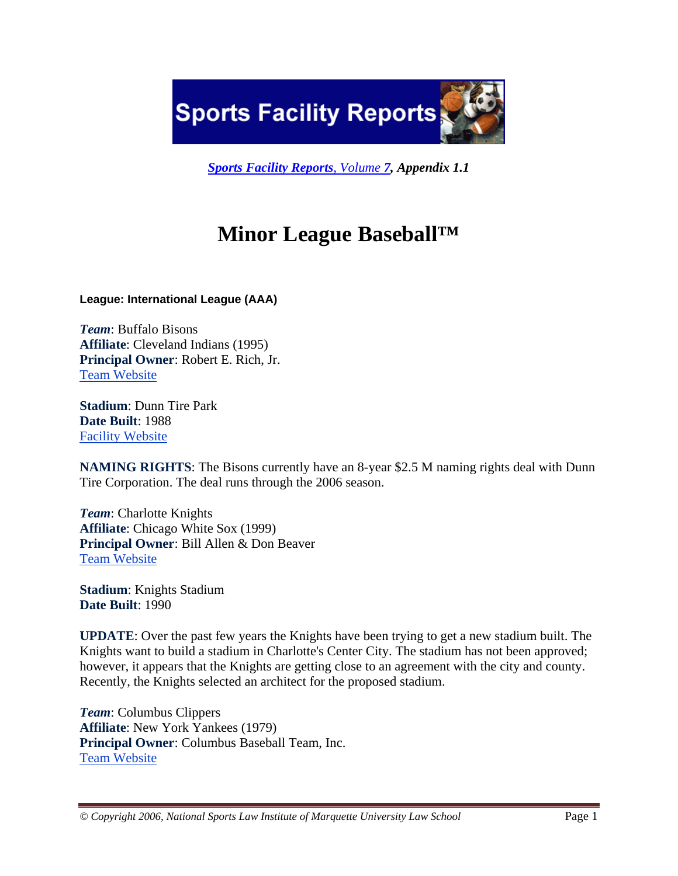**Sports Facility Reports** 

*Sports Facility Reports, Volume 7, Appendix 1.1*

# **Minor League Baseball™**

**League: International League (AAA)** 

*Team*: Buffalo Bisons **Affiliate**: Cleveland Indians (1995) **Principal Owner**: Robert E. Rich, Jr. Team Website

**Stadium**: Dunn Tire Park **Date Built**: 1988 Facility Website

**NAMING RIGHTS**: The Bisons currently have an 8-year \$2.5 M naming rights deal with Dunn Tire Corporation. The deal runs through the 2006 season.

*Team*: Charlotte Knights **Affiliate**: Chicago White Sox (1999) **Principal Owner**: Bill Allen & Don Beaver Team Website

**Stadium**: Knights Stadium **Date Built**: 1990

**UPDATE**: Over the past few years the Knights have been trying to get a new stadium built. The Knights want to build a stadium in Charlotte's Center City. The stadium has not been approved; however, it appears that the Knights are getting close to an agreement with the city and county. Recently, the Knights selected an architect for the proposed stadium.

*Team*: Columbus Clippers **Affiliate**: New York Yankees (1979) **Principal Owner**: Columbus Baseball Team, Inc. Team Website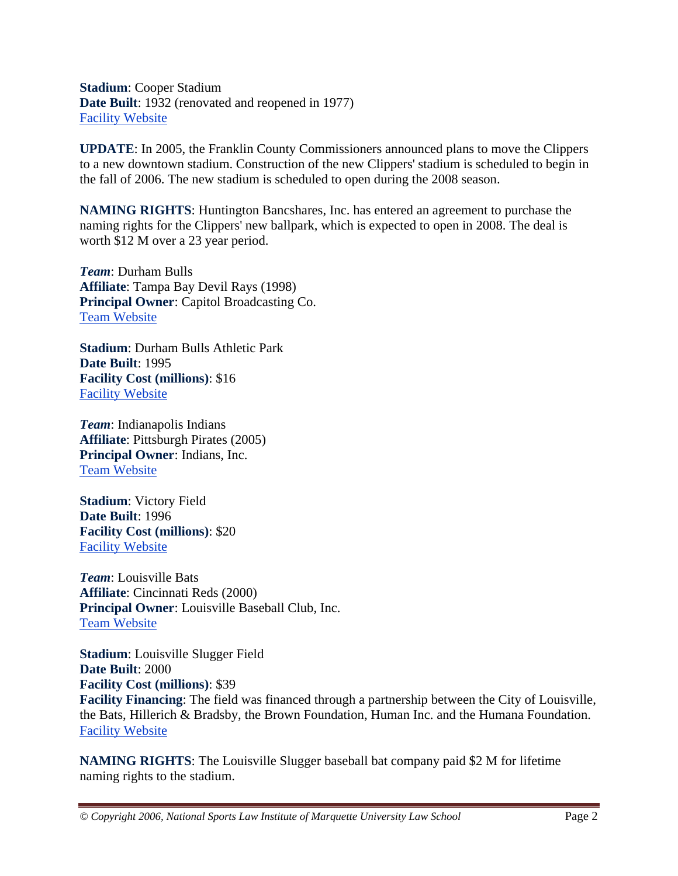**Stadium**: Cooper Stadium **Date Built**: 1932 (renovated and reopened in 1977) Facility Website

**UPDATE**: In 2005, the Franklin County Commissioners announced plans to move the Clippers to a new downtown stadium. Construction of the new Clippers' stadium is scheduled to begin in the fall of 2006. The new stadium is scheduled to open during the 2008 season.

**NAMING RIGHTS**: Huntington Bancshares, Inc. has entered an agreement to purchase the naming rights for the Clippers' new ballpark, which is expected to open in 2008. The deal is worth \$12 M over a 23 year period.

*Team*: Durham Bulls **Affiliate**: Tampa Bay Devil Rays (1998) **Principal Owner**: Capitol Broadcasting Co. Team Website

**Stadium**: Durham Bulls Athletic Park **Date Built**: 1995 **Facility Cost (millions)**: \$16 Facility Website

*Team*: Indianapolis Indians **Affiliate**: Pittsburgh Pirates (2005) **Principal Owner**: Indians, Inc. Team Website

**Stadium**: Victory Field **Date Built**: 1996 **Facility Cost (millions)**: \$20 Facility Website

*Team*: Louisville Bats **Affiliate**: Cincinnati Reds (2000) **Principal Owner**: Louisville Baseball Club, Inc. Team Website

**Stadium**: Louisville Slugger Field **Date Built**: 2000 **Facility Cost (millions)**: \$39 **Facility Financing**: The field was financed through a partnership between the City of Louisville, the Bats, Hillerich & Bradsby, the Brown Foundation, Human Inc. and the Humana Foundation. Facility Website

**NAMING RIGHTS**: The Louisville Slugger baseball bat company paid \$2 M for lifetime naming rights to the stadium.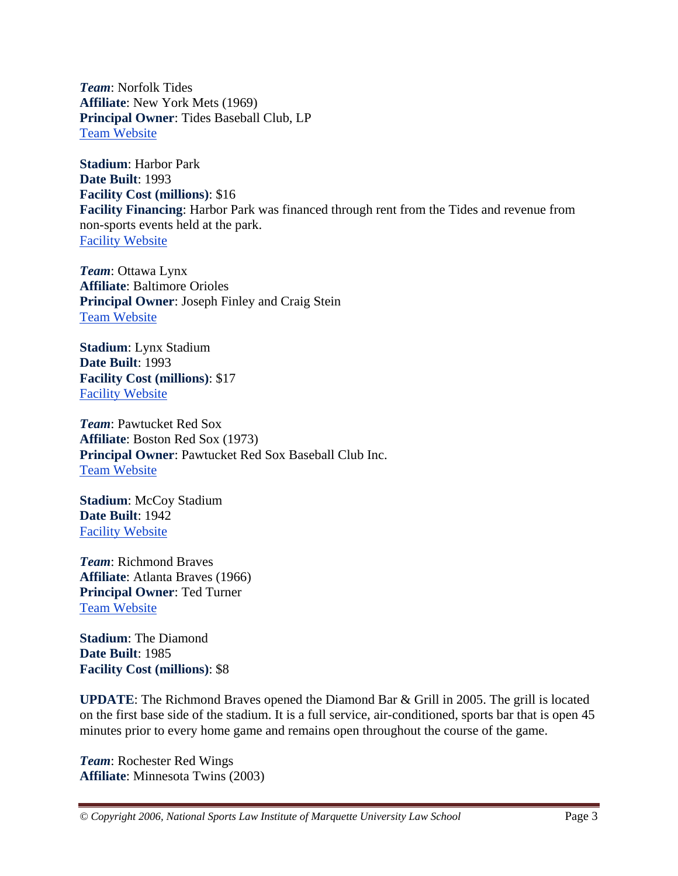*Team*: Norfolk Tides **Affiliate**: New York Mets (1969) **Principal Owner**: Tides Baseball Club, LP Team Website

**Stadium**: Harbor Park **Date Built**: 1993 **Facility Cost (millions)**: \$16 **Facility Financing**: Harbor Park was financed through rent from the Tides and revenue from non-sports events held at the park. Facility Website

*Team*: Ottawa Lynx **Affiliate**: Baltimore Orioles **Principal Owner**: Joseph Finley and Craig Stein Team Website

**Stadium**: Lynx Stadium **Date Built**: 1993 **Facility Cost (millions)**: \$17 Facility Website

*Team*: Pawtucket Red Sox **Affiliate**: Boston Red Sox (1973) **Principal Owner**: Pawtucket Red Sox Baseball Club Inc. Team Website

**Stadium**: McCoy Stadium **Date Built**: 1942 Facility Website

*Team*: Richmond Braves **Affiliate**: Atlanta Braves (1966) **Principal Owner**: Ted Turner Team Website

**Stadium**: The Diamond **Date Built**: 1985 **Facility Cost (millions)**: \$8

**UPDATE**: The Richmond Braves opened the Diamond Bar & Grill in 2005. The grill is located on the first base side of the stadium. It is a full service, air-conditioned, sports bar that is open 45 minutes prior to every home game and remains open throughout the course of the game.

*Team*: Rochester Red Wings **Affiliate**: Minnesota Twins (2003)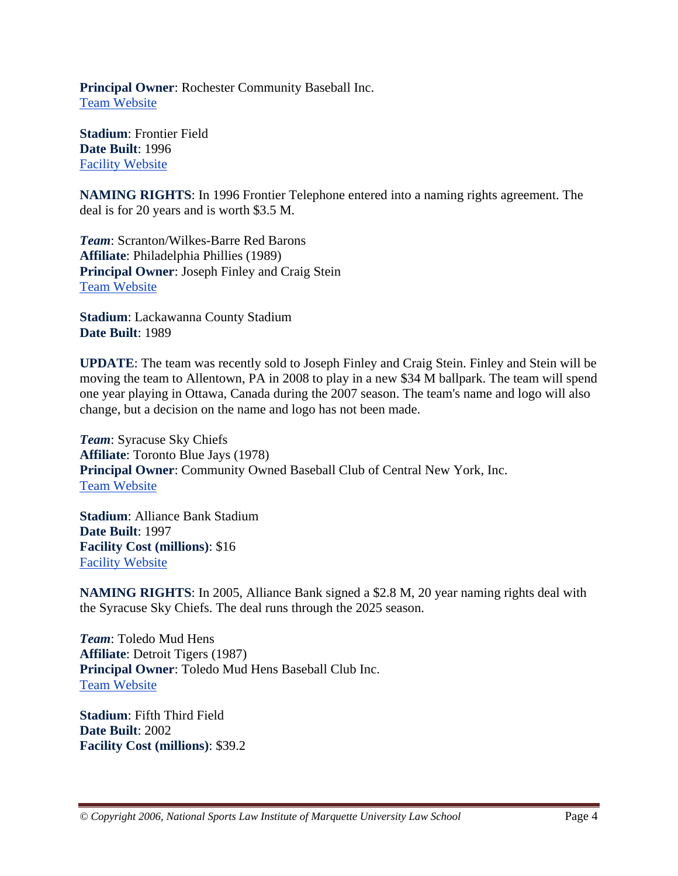**Principal Owner**: Rochester Community Baseball Inc. Team Website

**Stadium**: Frontier Field **Date Built**: 1996 Facility Website

**NAMING RIGHTS**: In 1996 Frontier Telephone entered into a naming rights agreement. The deal is for 20 years and is worth \$3.5 M.

*Team*: Scranton/Wilkes-Barre Red Barons **Affiliate**: Philadelphia Phillies (1989) **Principal Owner**: Joseph Finley and Craig Stein Team Website

**Stadium**: Lackawanna County Stadium **Date Built**: 1989

**UPDATE**: The team was recently sold to Joseph Finley and Craig Stein. Finley and Stein will be moving the team to Allentown, PA in 2008 to play in a new \$34 M ballpark. The team will spend one year playing in Ottawa, Canada during the 2007 season. The team's name and logo will also change, but a decision on the name and logo has not been made.

*Team*: Syracuse Sky Chiefs **Affiliate**: Toronto Blue Jays (1978) **Principal Owner**: Community Owned Baseball Club of Central New York, Inc. Team Website

**Stadium**: Alliance Bank Stadium **Date Built**: 1997 **Facility Cost (millions)**: \$16 Facility Website

**NAMING RIGHTS**: In 2005, Alliance Bank signed a \$2.8 M, 20 year naming rights deal with the Syracuse Sky Chiefs. The deal runs through the 2025 season.

*Team*: Toledo Mud Hens **Affiliate**: Detroit Tigers (1987) **Principal Owner**: Toledo Mud Hens Baseball Club Inc. Team Website

**Stadium**: Fifth Third Field **Date Built**: 2002 **Facility Cost (millions)**: \$39.2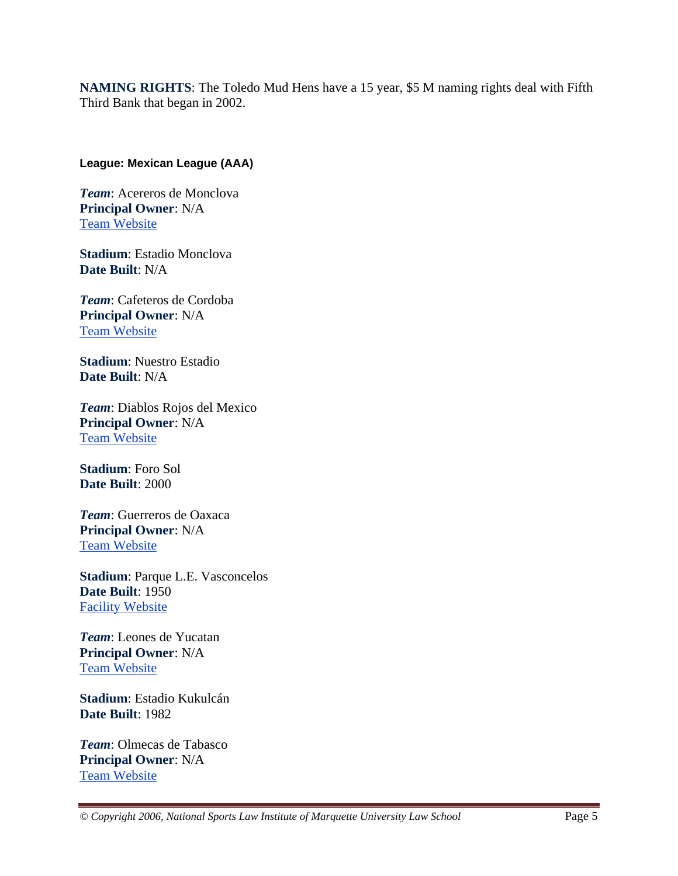**NAMING RIGHTS**: The Toledo Mud Hens have a 15 year, \$5 M naming rights deal with Fifth Third Bank that began in 2002.

#### **League: Mexican League (AAA)**

*Team*: Acereros de Monclova **Principal Owner**: N/A Team Website

**Stadium**: Estadio Monclova **Date Built**: N/A

*Team*: Cafeteros de Cordoba **Principal Owner**: N/A Team Website

**Stadium**: Nuestro Estadio **Date Built**: N/A

*Team*: Diablos Rojos del Mexico **Principal Owner**: N/A Team Website

**Stadium**: Foro Sol **Date Built**: 2000

*Team*: Guerreros de Oaxaca **Principal Owner**: N/A Team Website

**Stadium**: Parque L.E. Vasconcelos **Date Built**: 1950 Facility Website

*Team*: Leones de Yucatan **Principal Owner**: N/A Team Website

**Stadium**: Estadio Kukulcán **Date Built**: 1982

*Team*: Olmecas de Tabasco **Principal Owner**: N/A Team Website

*© Copyright 2006, National Sports Law Institute of Marquette University Law School* Page 5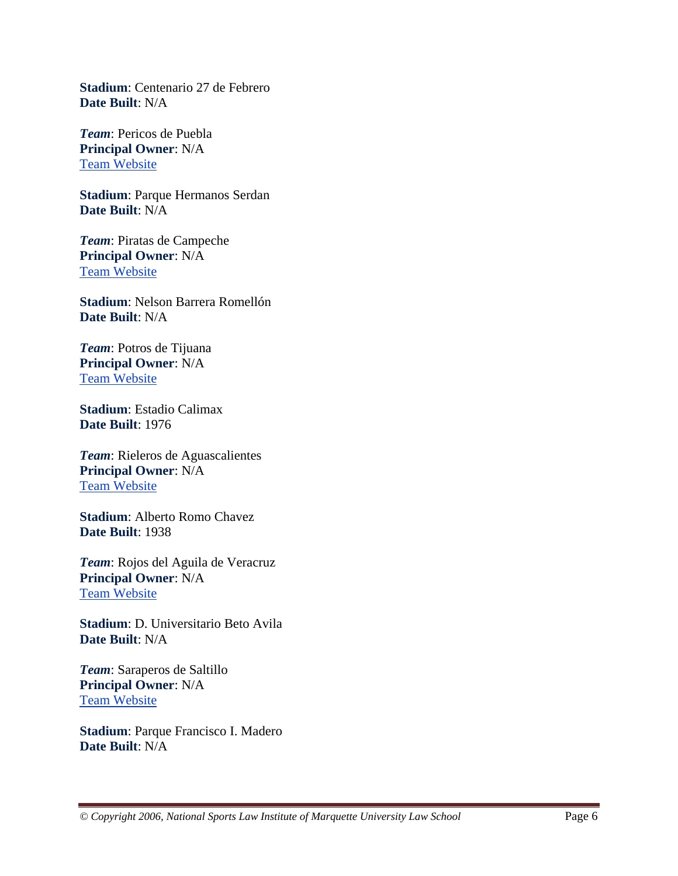**Stadium**: Centenario 27 de Febrero **Date Built**: N/A

*Team*: Pericos de Puebla **Principal Owner**: N/A Team Website

**Stadium**: Parque Hermanos Serdan **Date Built**: N/A

*Team*: Piratas de Campeche **Principal Owner**: N/A Team Website

**Stadium**: Nelson Barrera Romellón **Date Built**: N/A

*Team*: Potros de Tijuana **Principal Owner**: N/A Team Website

**Stadium**: Estadio Calimax **Date Built**: 1976

*Team*: Rieleros de Aguascalientes **Principal Owner**: N/A Team Website

**Stadium**: Alberto Romo Chavez **Date Built**: 1938

*Team*: Rojos del Aguila de Veracruz **Principal Owner**: N/A Team Website

**Stadium**: D. Universitario Beto Avila **Date Built**: N/A

*Team*: Saraperos de Saltillo **Principal Owner**: N/A Team Website

**Stadium**: Parque Francisco I. Madero **Date Built**: N/A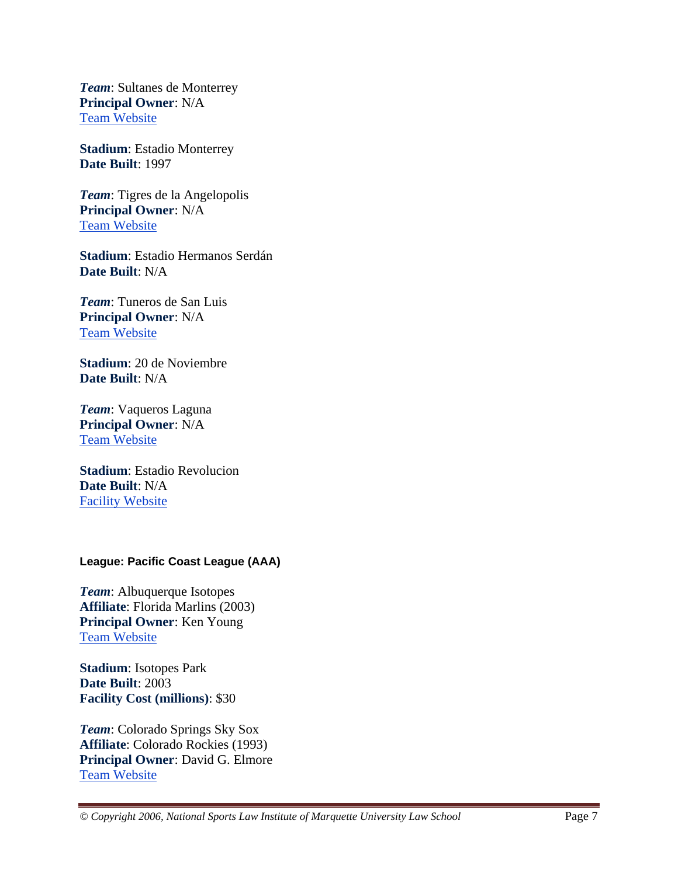*Team*: Sultanes de Monterrey **Principal Owner**: N/A Team Website

**Stadium**: Estadio Monterrey **Date Built**: 1997

*Team*: Tigres de la Angelopolis **Principal Owner**: N/A Team Website

**Stadium**: Estadio Hermanos Serdán **Date Built**: N/A

*Team*: Tuneros de San Luis **Principal Owner**: N/A Team Website

**Stadium**: 20 de Noviembre **Date Built**: N/A

*Team*: Vaqueros Laguna **Principal Owner**: N/A Team Website

**Stadium**: Estadio Revolucion **Date Built**: N/A Facility Website

#### **League: Pacific Coast League (AAA)**

*Team*: Albuquerque Isotopes **Affiliate**: Florida Marlins (2003) **Principal Owner**: Ken Young Team Website

**Stadium**: Isotopes Park **Date Built**: 2003 **Facility Cost (millions)**: \$30

*Team*: Colorado Springs Sky Sox **Affiliate**: Colorado Rockies (1993) **Principal Owner**: David G. Elmore Team Website

*© Copyright 2006, National Sports Law Institute of Marquette University Law School* Page 7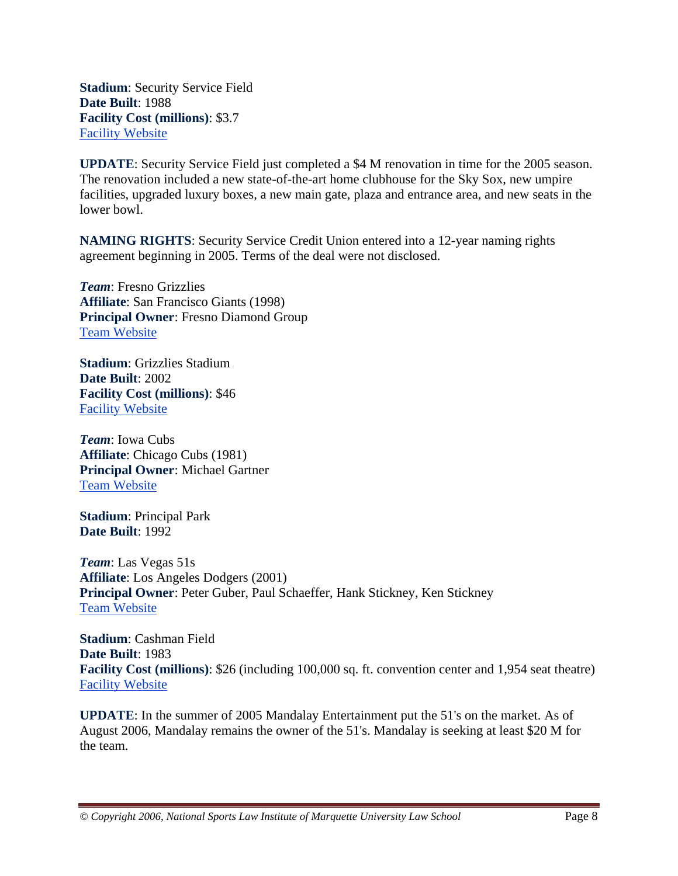**Stadium**: Security Service Field **Date Built**: 1988 **Facility Cost (millions)**: \$3.7 Facility Website

**UPDATE**: Security Service Field just completed a \$4 M renovation in time for the 2005 season. The renovation included a new state-of-the-art home clubhouse for the Sky Sox, new umpire facilities, upgraded luxury boxes, a new main gate, plaza and entrance area, and new seats in the lower bowl.

**NAMING RIGHTS**: Security Service Credit Union entered into a 12-year naming rights agreement beginning in 2005. Terms of the deal were not disclosed.

*Team*: Fresno Grizzlies **Affiliate**: San Francisco Giants (1998) **Principal Owner**: Fresno Diamond Group Team Website

**Stadium**: Grizzlies Stadium **Date Built**: 2002 **Facility Cost (millions)**: \$46 Facility Website

*Team*: Iowa Cubs **Affiliate**: Chicago Cubs (1981) **Principal Owner**: Michael Gartner Team Website

**Stadium**: Principal Park **Date Built**: 1992

*Team*: Las Vegas 51s **Affiliate**: Los Angeles Dodgers (2001) **Principal Owner**: Peter Guber, Paul Schaeffer, Hank Stickney, Ken Stickney Team Website

**Stadium**: Cashman Field **Date Built**: 1983 **Facility Cost (millions)**: \$26 (including 100,000 sq. ft. convention center and 1,954 seat theatre) Facility Website

**UPDATE**: In the summer of 2005 Mandalay Entertainment put the 51's on the market. As of August 2006, Mandalay remains the owner of the 51's. Mandalay is seeking at least \$20 M for the team.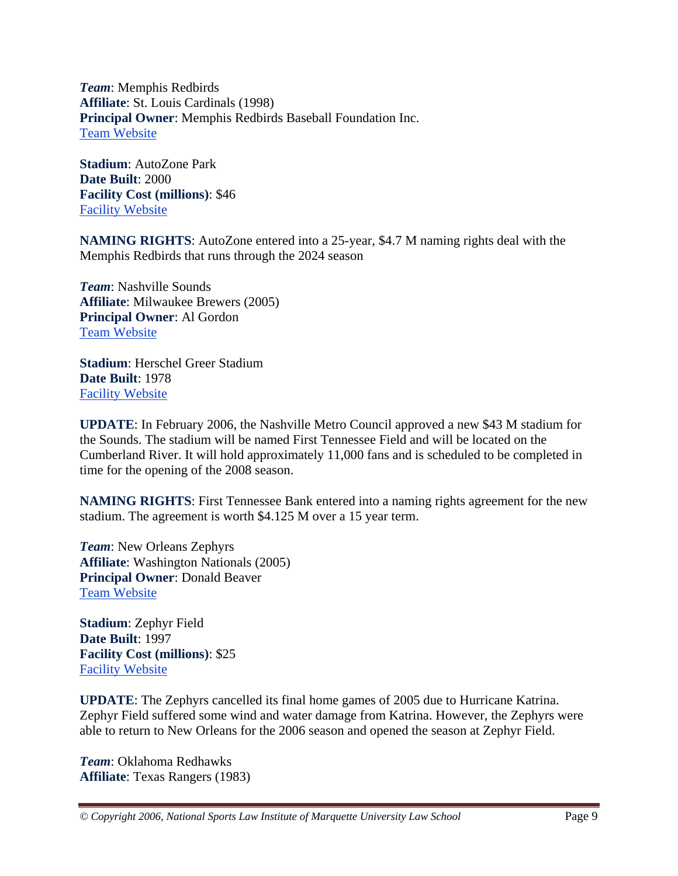*Team*: Memphis Redbirds **Affiliate**: St. Louis Cardinals (1998) **Principal Owner**: Memphis Redbirds Baseball Foundation Inc. Team Website

**Stadium**: AutoZone Park **Date Built**: 2000 **Facility Cost (millions)**: \$46 Facility Website

**NAMING RIGHTS**: AutoZone entered into a 25-year, \$4.7 M naming rights deal with the Memphis Redbirds that runs through the 2024 season

*Team*: Nashville Sounds **Affiliate**: Milwaukee Brewers (2005) **Principal Owner**: Al Gordon Team Website

**Stadium**: Herschel Greer Stadium **Date Built**: 1978 Facility Website

**UPDATE**: In February 2006, the Nashville Metro Council approved a new \$43 M stadium for the Sounds. The stadium will be named First Tennessee Field and will be located on the Cumberland River. It will hold approximately 11,000 fans and is scheduled to be completed in time for the opening of the 2008 season.

**NAMING RIGHTS**: First Tennessee Bank entered into a naming rights agreement for the new stadium. The agreement is worth \$4.125 M over a 15 year term.

*Team*: New Orleans Zephyrs **Affiliate**: Washington Nationals (2005) **Principal Owner**: Donald Beaver Team Website

**Stadium**: Zephyr Field **Date Built**: 1997 **Facility Cost (millions)**: \$25 Facility Website

**UPDATE**: The Zephyrs cancelled its final home games of 2005 due to Hurricane Katrina. Zephyr Field suffered some wind and water damage from Katrina. However, the Zephyrs were able to return to New Orleans for the 2006 season and opened the season at Zephyr Field.

*Team*: Oklahoma Redhawks **Affiliate**: Texas Rangers (1983)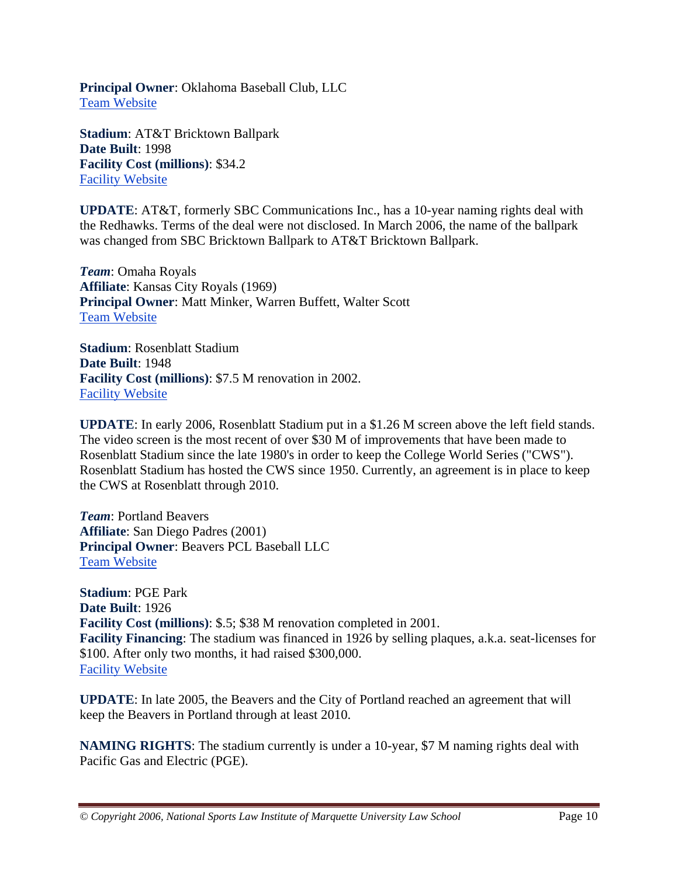**Principal Owner**: Oklahoma Baseball Club, LLC Team Website

**Stadium**: AT&T Bricktown Ballpark **Date Built**: 1998 **Facility Cost (millions)**: \$34.2 Facility Website

**UPDATE**: AT&T, formerly SBC Communications Inc., has a 10-year naming rights deal with the Redhawks. Terms of the deal were not disclosed. In March 2006, the name of the ballpark was changed from SBC Bricktown Ballpark to AT&T Bricktown Ballpark.

*Team*: Omaha Royals **Affiliate**: Kansas City Royals (1969) **Principal Owner**: Matt Minker, Warren Buffett, Walter Scott Team Website

**Stadium**: Rosenblatt Stadium **Date Built**: 1948 **Facility Cost (millions)**: \$7.5 M renovation in 2002. Facility Website

**UPDATE**: In early 2006, Rosenblatt Stadium put in a \$1.26 M screen above the left field stands. The video screen is the most recent of over \$30 M of improvements that have been made to Rosenblatt Stadium since the late 1980's in order to keep the College World Series ("CWS"). Rosenblatt Stadium has hosted the CWS since 1950. Currently, an agreement is in place to keep the CWS at Rosenblatt through 2010.

*Team*: Portland Beavers **Affiliate**: San Diego Padres (2001) **Principal Owner**: Beavers PCL Baseball LLC Team Website

**Stadium**: PGE Park **Date Built**: 1926 **Facility Cost (millions)**: \$.5; \$38 M renovation completed in 2001. **Facility Financing**: The stadium was financed in 1926 by selling plaques, a.k.a. seat-licenses for \$100. After only two months, it had raised \$300,000. Facility Website

**UPDATE**: In late 2005, the Beavers and the City of Portland reached an agreement that will keep the Beavers in Portland through at least 2010.

**NAMING RIGHTS**: The stadium currently is under a 10-year, \$7 M naming rights deal with Pacific Gas and Electric (PGE).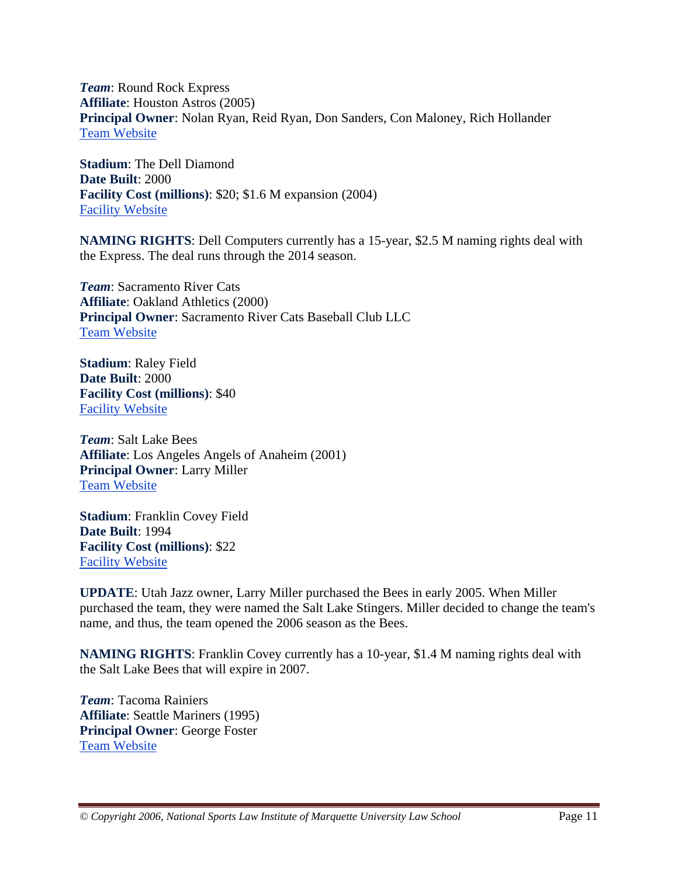*Team*: Round Rock Express **Affiliate**: Houston Astros (2005) **Principal Owner**: Nolan Ryan, Reid Ryan, Don Sanders, Con Maloney, Rich Hollander Team Website

**Stadium**: The Dell Diamond **Date Built**: 2000 **Facility Cost (millions)**: \$20; \$1.6 M expansion (2004) Facility Website

**NAMING RIGHTS**: Dell Computers currently has a 15-year, \$2.5 M naming rights deal with the Express. The deal runs through the 2014 season.

*Team*: Sacramento River Cats **Affiliate**: Oakland Athletics (2000) **Principal Owner**: Sacramento River Cats Baseball Club LLC Team Website

**Stadium**: Raley Field **Date Built**: 2000 **Facility Cost (millions)**: \$40 Facility Website

*Team*: Salt Lake Bees **Affiliate**: Los Angeles Angels of Anaheim (2001) **Principal Owner**: Larry Miller Team Website

**Stadium**: Franklin Covey Field **Date Built**: 1994 **Facility Cost (millions)**: \$22 Facility Website

**UPDATE**: Utah Jazz owner, Larry Miller purchased the Bees in early 2005. When Miller purchased the team, they were named the Salt Lake Stingers. Miller decided to change the team's name, and thus, the team opened the 2006 season as the Bees.

**NAMING RIGHTS**: Franklin Covey currently has a 10-year, \$1.4 M naming rights deal with the Salt Lake Bees that will expire in 2007.

*Team*: Tacoma Rainiers **Affiliate**: Seattle Mariners (1995) **Principal Owner**: George Foster Team Website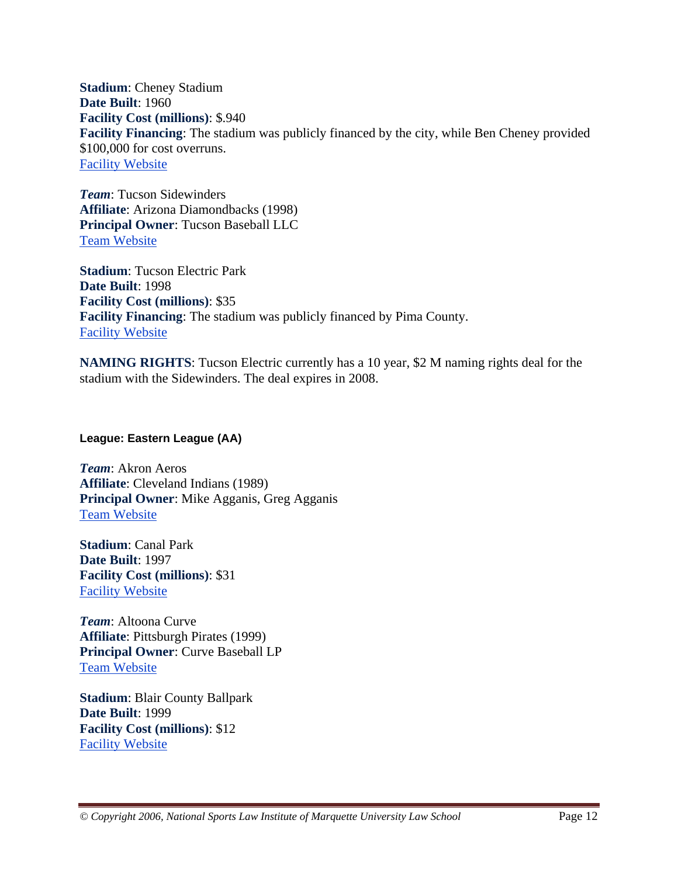**Stadium**: Cheney Stadium **Date Built**: 1960 **Facility Cost (millions)**: \$.940 **Facility Financing**: The stadium was publicly financed by the city, while Ben Cheney provided \$100,000 for cost overruns. Facility Website

*Team*: Tucson Sidewinders **Affiliate**: Arizona Diamondbacks (1998) **Principal Owner**: Tucson Baseball LLC Team Website

**Stadium**: Tucson Electric Park **Date Built**: 1998 **Facility Cost (millions)**: \$35 **Facility Financing**: The stadium was publicly financed by Pima County. Facility Website

**NAMING RIGHTS**: Tucson Electric currently has a 10 year, \$2 M naming rights deal for the stadium with the Sidewinders. The deal expires in 2008.

**League: Eastern League (AA)** 

*Team*: Akron Aeros **Affiliate**: Cleveland Indians (1989) **Principal Owner**: Mike Agganis, Greg Agganis Team Website

**Stadium**: Canal Park **Date Built**: 1997 **Facility Cost (millions)**: \$31 Facility Website

*Team*: Altoona Curve **Affiliate**: Pittsburgh Pirates (1999) **Principal Owner**: Curve Baseball LP Team Website

**Stadium**: Blair County Ballpark **Date Built**: 1999 **Facility Cost (millions)**: \$12 Facility Website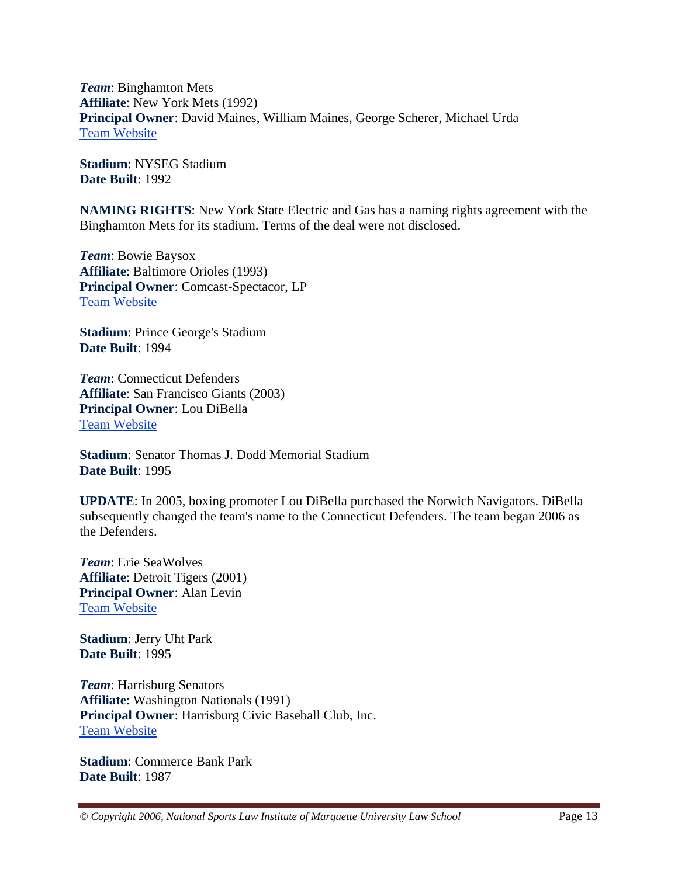*Team*: Binghamton Mets **Affiliate**: New York Mets (1992) **Principal Owner**: David Maines, William Maines, George Scherer, Michael Urda Team Website

**Stadium**: NYSEG Stadium **Date Built**: 1992

**NAMING RIGHTS**: New York State Electric and Gas has a naming rights agreement with the Binghamton Mets for its stadium. Terms of the deal were not disclosed.

*Team*: Bowie Baysox **Affiliate**: Baltimore Orioles (1993) **Principal Owner**: Comcast-Spectacor, LP Team Website

**Stadium**: Prince George's Stadium **Date Built**: 1994

*Team*: Connecticut Defenders **Affiliate**: San Francisco Giants (2003) **Principal Owner**: Lou DiBella Team Website

**Stadium**: Senator Thomas J. Dodd Memorial Stadium **Date Built**: 1995

**UPDATE**: In 2005, boxing promoter Lou DiBella purchased the Norwich Navigators. DiBella subsequently changed the team's name to the Connecticut Defenders. The team began 2006 as the Defenders.

*Team*: Erie SeaWolves **Affiliate**: Detroit Tigers (2001) **Principal Owner**: Alan Levin Team Website

**Stadium**: Jerry Uht Park **Date Built**: 1995

*Team*: Harrisburg Senators **Affiliate**: Washington Nationals (1991) **Principal Owner**: Harrisburg Civic Baseball Club, Inc. Team Website

**Stadium**: Commerce Bank Park **Date Built**: 1987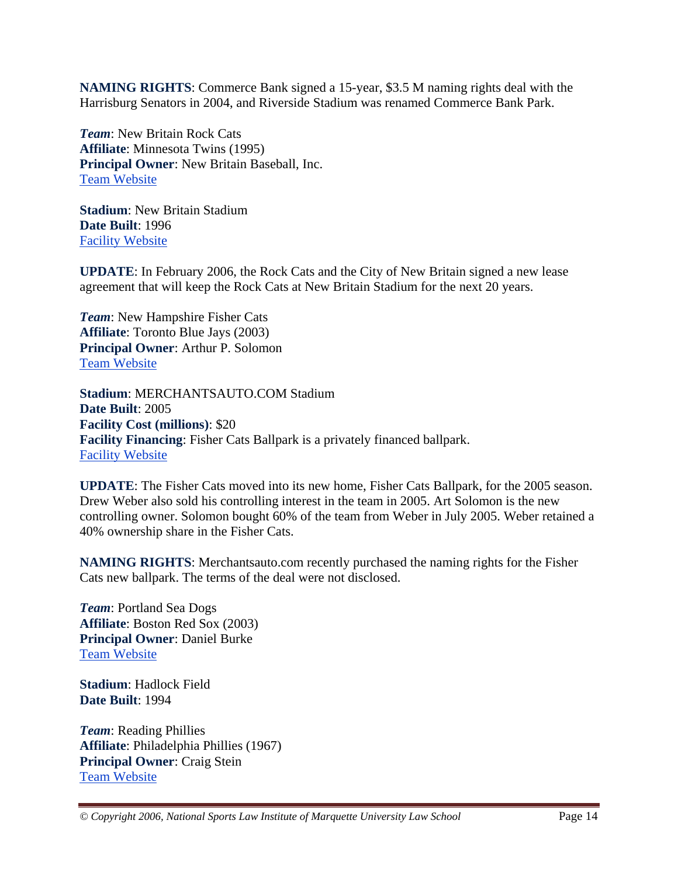**NAMING RIGHTS**: Commerce Bank signed a 15-year, \$3.5 M naming rights deal with the Harrisburg Senators in 2004, and Riverside Stadium was renamed Commerce Bank Park.

*Team*: New Britain Rock Cats **Affiliate**: Minnesota Twins (1995) **Principal Owner**: New Britain Baseball, Inc. Team Website

**Stadium**: New Britain Stadium **Date Built**: 1996 Facility Website

**UPDATE**: In February 2006, the Rock Cats and the City of New Britain signed a new lease agreement that will keep the Rock Cats at New Britain Stadium for the next 20 years.

*Team*: New Hampshire Fisher Cats **Affiliate**: Toronto Blue Jays (2003) **Principal Owner**: Arthur P. Solomon Team Website

**Stadium**: MERCHANTSAUTO.COM Stadium **Date Built**: 2005 **Facility Cost (millions)**: \$20 **Facility Financing**: Fisher Cats Ballpark is a privately financed ballpark. Facility Website

**UPDATE**: The Fisher Cats moved into its new home, Fisher Cats Ballpark, for the 2005 season. Drew Weber also sold his controlling interest in the team in 2005. Art Solomon is the new controlling owner. Solomon bought 60% of the team from Weber in July 2005. Weber retained a 40% ownership share in the Fisher Cats.

**NAMING RIGHTS**: Merchantsauto.com recently purchased the naming rights for the Fisher Cats new ballpark. The terms of the deal were not disclosed.

*Team*: Portland Sea Dogs **Affiliate**: Boston Red Sox (2003) **Principal Owner**: Daniel Burke Team Website

**Stadium**: Hadlock Field **Date Built**: 1994

*Team*: Reading Phillies **Affiliate**: Philadelphia Phillies (1967) **Principal Owner**: Craig Stein Team Website

*© Copyright 2006, National Sports Law Institute of Marquette University Law School* Page 14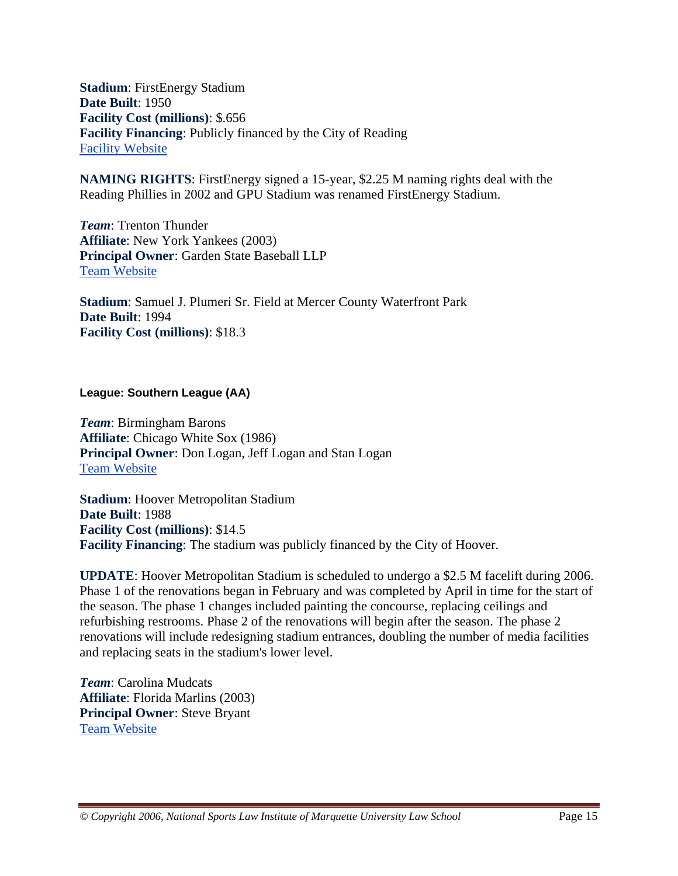**Stadium**: FirstEnergy Stadium **Date Built**: 1950 **Facility Cost (millions)**: \$.656 **Facility Financing**: Publicly financed by the City of Reading Facility Website

**NAMING RIGHTS**: FirstEnergy signed a 15-year, \$2.25 M naming rights deal with the Reading Phillies in 2002 and GPU Stadium was renamed FirstEnergy Stadium.

*Team*: Trenton Thunder **Affiliate**: New York Yankees (2003) **Principal Owner**: Garden State Baseball LLP Team Website

**Stadium**: Samuel J. Plumeri Sr. Field at Mercer County Waterfront Park **Date Built**: 1994 **Facility Cost (millions)**: \$18.3

**League: Southern League (AA)** 

*Team*: Birmingham Barons **Affiliate**: Chicago White Sox (1986) **Principal Owner**: Don Logan, Jeff Logan and Stan Logan Team Website

**Stadium**: Hoover Metropolitan Stadium **Date Built**: 1988 **Facility Cost (millions)**: \$14.5 **Facility Financing**: The stadium was publicly financed by the City of Hoover.

**UPDATE**: Hoover Metropolitan Stadium is scheduled to undergo a \$2.5 M facelift during 2006. Phase 1 of the renovations began in February and was completed by April in time for the start of the season. The phase 1 changes included painting the concourse, replacing ceilings and refurbishing restrooms. Phase 2 of the renovations will begin after the season. The phase 2 renovations will include redesigning stadium entrances, doubling the number of media facilities and replacing seats in the stadium's lower level.

*Team*: Carolina Mudcats **Affiliate**: Florida Marlins (2003) **Principal Owner**: Steve Bryant Team Website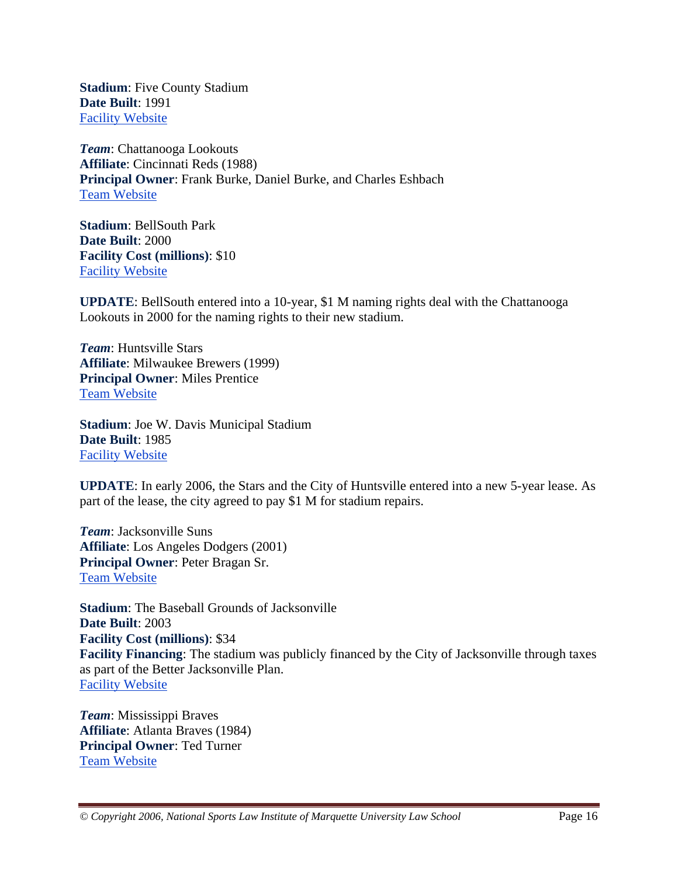**Stadium**: Five County Stadium **Date Built**: 1991 Facility Website

*Team*: Chattanooga Lookouts **Affiliate**: Cincinnati Reds (1988) **Principal Owner**: Frank Burke, Daniel Burke, and Charles Eshbach Team Website

**Stadium**: BellSouth Park **Date Built**: 2000 **Facility Cost (millions)**: \$10 Facility Website

**UPDATE**: BellSouth entered into a 10-year, \$1 M naming rights deal with the Chattanooga Lookouts in 2000 for the naming rights to their new stadium.

*Team*: Huntsville Stars **Affiliate**: Milwaukee Brewers (1999) **Principal Owner**: Miles Prentice Team Website

**Stadium**: Joe W. Davis Municipal Stadium **Date Built**: 1985 Facility Website

**UPDATE**: In early 2006, the Stars and the City of Huntsville entered into a new 5-year lease. As part of the lease, the city agreed to pay \$1 M for stadium repairs.

*Team*: Jacksonville Suns **Affiliate**: Los Angeles Dodgers (2001) **Principal Owner**: Peter Bragan Sr. Team Website

**Stadium**: The Baseball Grounds of Jacksonville **Date Built**: 2003 **Facility Cost (millions)**: \$34 **Facility Financing**: The stadium was publicly financed by the City of Jacksonville through taxes as part of the Better Jacksonville Plan. Facility Website

*Team*: Mississippi Braves **Affiliate**: Atlanta Braves (1984) **Principal Owner**: Ted Turner Team Website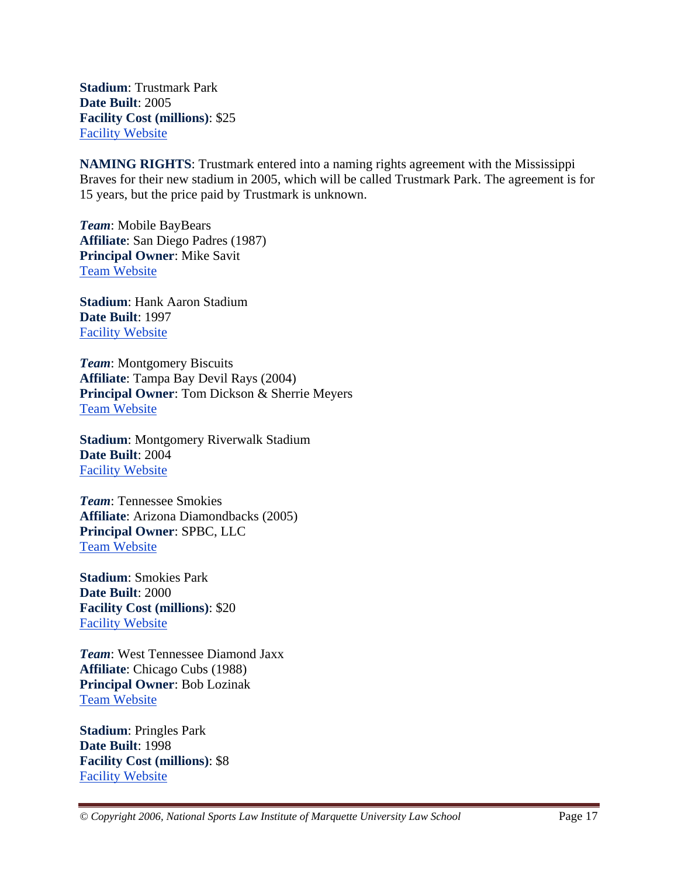**Stadium**: Trustmark Park **Date Built**: 2005 **Facility Cost (millions)**: \$25 Facility Website

**NAMING RIGHTS**: Trustmark entered into a naming rights agreement with the Mississippi Braves for their new stadium in 2005, which will be called Trustmark Park. The agreement is for 15 years, but the price paid by Trustmark is unknown.

*Team*: Mobile BayBears **Affiliate**: San Diego Padres (1987) **Principal Owner**: Mike Savit Team Website

**Stadium**: Hank Aaron Stadium **Date Built**: 1997 Facility Website

*Team*: Montgomery Biscuits **Affiliate**: Tampa Bay Devil Rays (2004) **Principal Owner**: Tom Dickson & Sherrie Meyers Team Website

**Stadium**: Montgomery Riverwalk Stadium **Date Built**: 2004 Facility Website

*Team*: Tennessee Smokies **Affiliate**: Arizona Diamondbacks (2005) **Principal Owner**: SPBC, LLC Team Website

**Stadium**: Smokies Park **Date Built**: 2000 **Facility Cost (millions)**: \$20 Facility Website

*Team*: West Tennessee Diamond Jaxx **Affiliate**: Chicago Cubs (1988) **Principal Owner**: Bob Lozinak Team Website

**Stadium**: Pringles Park **Date Built**: 1998 **Facility Cost (millions)**: \$8 Facility Website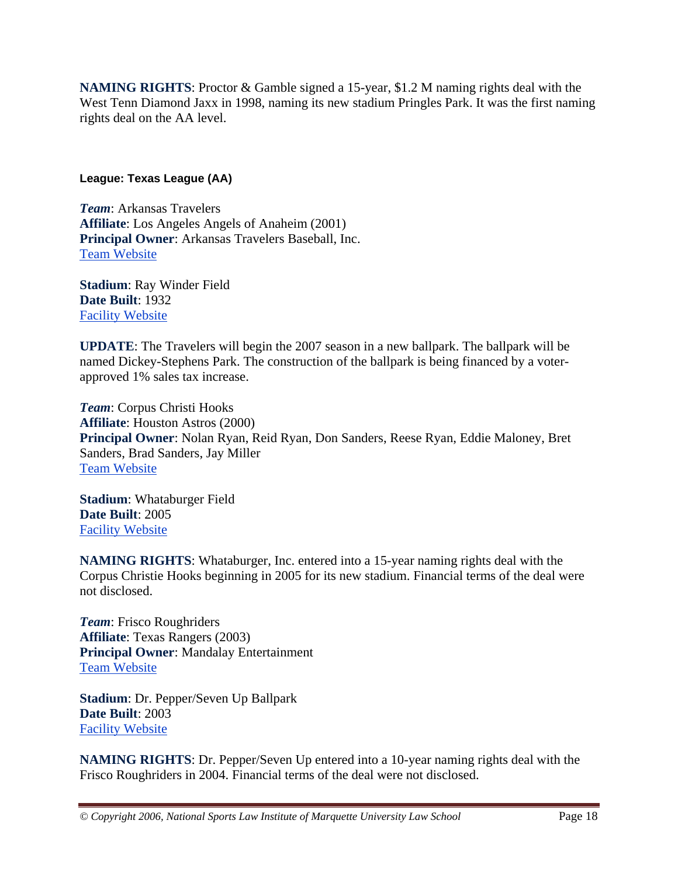**NAMING RIGHTS**: Proctor & Gamble signed a 15-year, \$1.2 M naming rights deal with the West Tenn Diamond Jaxx in 1998, naming its new stadium Pringles Park. It was the first naming rights deal on the AA level.

#### **League: Texas League (AA)**

*Team*: Arkansas Travelers **Affiliate**: Los Angeles Angels of Anaheim (2001) **Principal Owner**: Arkansas Travelers Baseball, Inc. Team Website

**Stadium**: Ray Winder Field **Date Built**: 1932 Facility Website

**UPDATE**: The Travelers will begin the 2007 season in a new ballpark. The ballpark will be named Dickey-Stephens Park. The construction of the ballpark is being financed by a voterapproved 1% sales tax increase.

*Team*: Corpus Christi Hooks **Affiliate**: Houston Astros (2000) **Principal Owner**: Nolan Ryan, Reid Ryan, Don Sanders, Reese Ryan, Eddie Maloney, Bret Sanders, Brad Sanders, Jay Miller Team Website

**Stadium**: Whataburger Field **Date Built**: 2005 Facility Website

**NAMING RIGHTS**: Whataburger, Inc. entered into a 15-year naming rights deal with the Corpus Christie Hooks beginning in 2005 for its new stadium. Financial terms of the deal were not disclosed.

*Team*: Frisco Roughriders **Affiliate**: Texas Rangers (2003) **Principal Owner**: Mandalay Entertainment Team Website

**Stadium**: Dr. Pepper/Seven Up Ballpark **Date Built**: 2003 Facility Website

**NAMING RIGHTS**: Dr. Pepper/Seven Up entered into a 10-year naming rights deal with the Frisco Roughriders in 2004. Financial terms of the deal were not disclosed.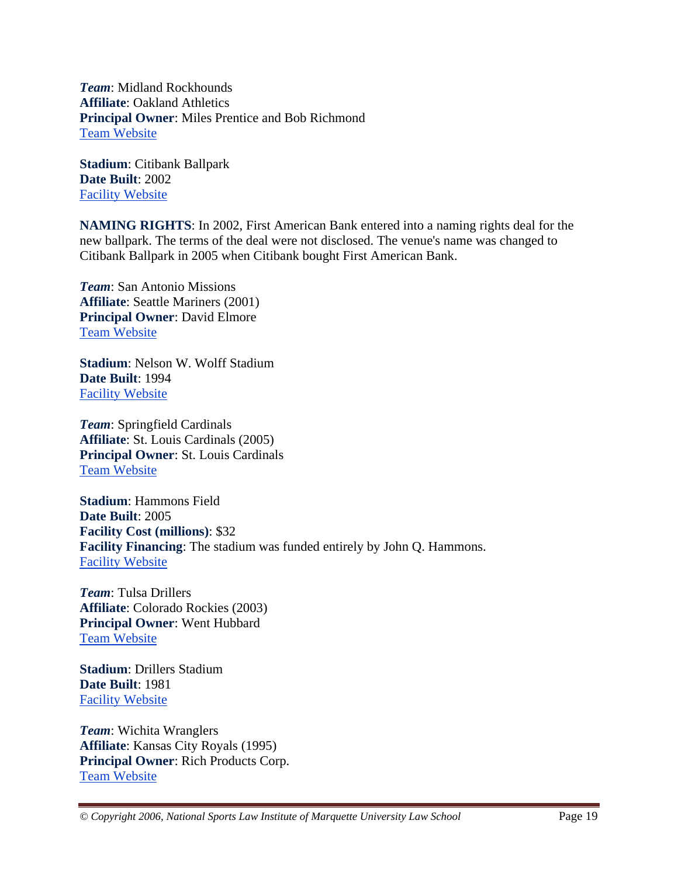*Team*: Midland Rockhounds **Affiliate**: Oakland Athletics **Principal Owner**: Miles Prentice and Bob Richmond Team Website

**Stadium**: Citibank Ballpark **Date Built**: 2002 Facility Website

**NAMING RIGHTS**: In 2002, First American Bank entered into a naming rights deal for the new ballpark. The terms of the deal were not disclosed. The venue's name was changed to Citibank Ballpark in 2005 when Citibank bought First American Bank.

*Team*: San Antonio Missions **Affiliate**: Seattle Mariners (2001) **Principal Owner**: David Elmore Team Website

**Stadium**: Nelson W. Wolff Stadium **Date Built**: 1994 Facility Website

*Team*: Springfield Cardinals **Affiliate**: St. Louis Cardinals (2005) **Principal Owner**: St. Louis Cardinals Team Website

**Stadium**: Hammons Field **Date Built**: 2005 **Facility Cost (millions)**: \$32 **Facility Financing**: The stadium was funded entirely by John Q. Hammons. Facility Website

*Team*: Tulsa Drillers **Affiliate**: Colorado Rockies (2003) **Principal Owner**: Went Hubbard Team Website

**Stadium**: Drillers Stadium **Date Built**: 1981 Facility Website

*Team*: Wichita Wranglers **Affiliate**: Kansas City Royals (1995) **Principal Owner**: Rich Products Corp. Team Website

*© Copyright 2006, National Sports Law Institute of Marquette University Law School* Page 19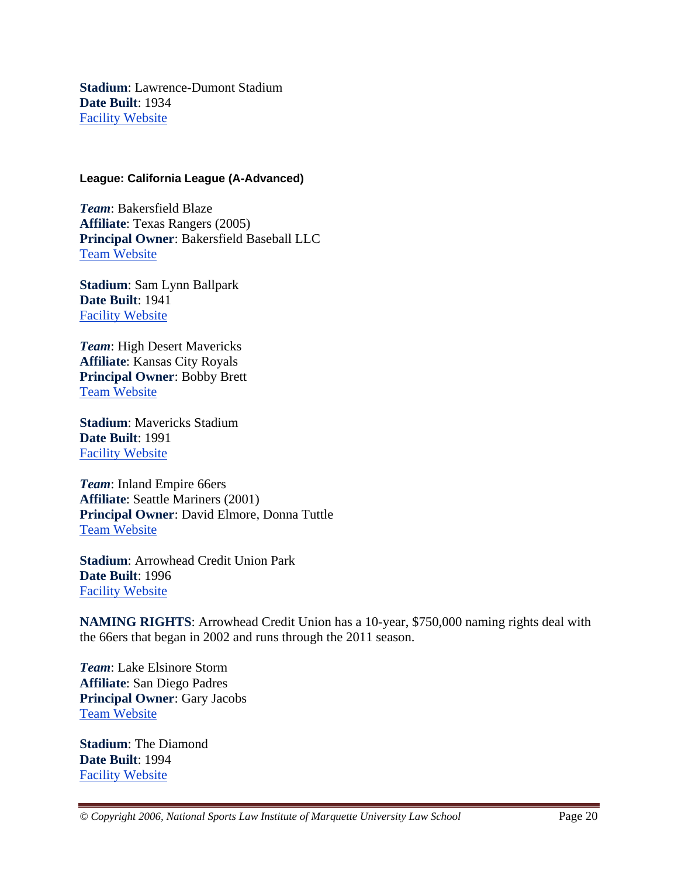**Stadium**: Lawrence-Dumont Stadium **Date Built**: 1934 Facility Website

#### **League: California League (A-Advanced)**

*Team*: Bakersfield Blaze **Affiliate**: Texas Rangers (2005) **Principal Owner**: Bakersfield Baseball LLC Team Website

**Stadium**: Sam Lynn Ballpark **Date Built**: 1941 Facility Website

*Team*: High Desert Mavericks **Affiliate**: Kansas City Royals **Principal Owner**: Bobby Brett Team Website

**Stadium**: Mavericks Stadium **Date Built**: 1991 Facility Website

*Team*: Inland Empire 66ers **Affiliate**: Seattle Mariners (2001) **Principal Owner**: David Elmore, Donna Tuttle Team Website

**Stadium**: Arrowhead Credit Union Park **Date Built**: 1996 Facility Website

**NAMING RIGHTS**: Arrowhead Credit Union has a 10-year, \$750,000 naming rights deal with the 66ers that began in 2002 and runs through the 2011 season.

*Team*: Lake Elsinore Storm **Affiliate**: San Diego Padres **Principal Owner**: Gary Jacobs Team Website

**Stadium**: The Diamond **Date Built**: 1994 Facility Website

*© Copyright 2006, National Sports Law Institute of Marquette University Law School* Page 20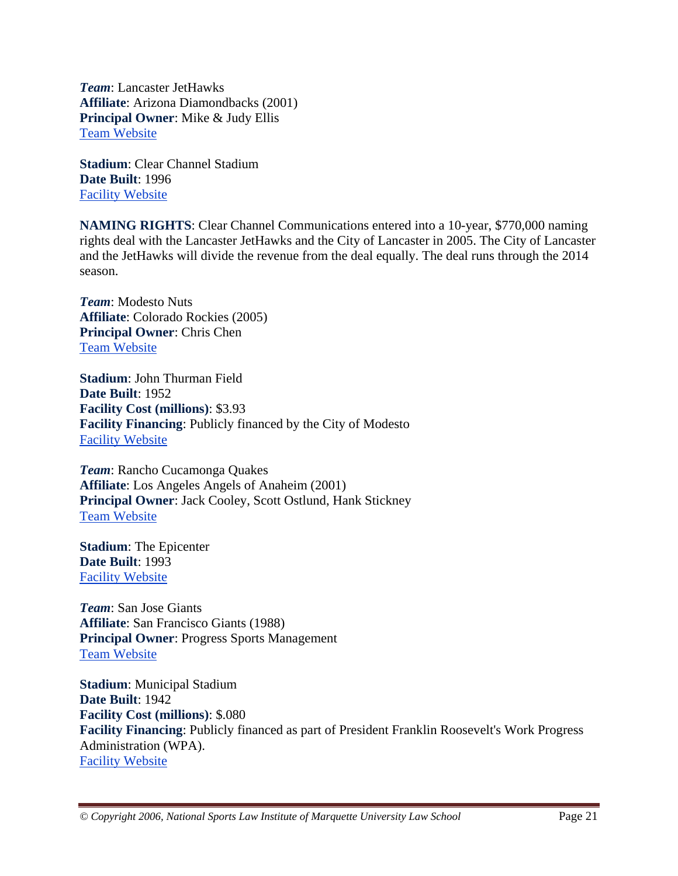*Team*: Lancaster JetHawks **Affiliate**: Arizona Diamondbacks (2001) **Principal Owner**: Mike & Judy Ellis Team Website

**Stadium**: Clear Channel Stadium **Date Built**: 1996 Facility Website

**NAMING RIGHTS**: Clear Channel Communications entered into a 10-year, \$770,000 naming rights deal with the Lancaster JetHawks and the City of Lancaster in 2005. The City of Lancaster and the JetHawks will divide the revenue from the deal equally. The deal runs through the 2014 season.

*Team*: Modesto Nuts **Affiliate**: Colorado Rockies (2005) **Principal Owner**: Chris Chen Team Website

**Stadium**: John Thurman Field **Date Built**: 1952 **Facility Cost (millions)**: \$3.93 **Facility Financing**: Publicly financed by the City of Modesto Facility Website

*Team*: Rancho Cucamonga Quakes **Affiliate**: Los Angeles Angels of Anaheim (2001) **Principal Owner**: Jack Cooley, Scott Ostlund, Hank Stickney Team Website

**Stadium**: The Epicenter **Date Built**: 1993 Facility Website

*Team*: San Jose Giants **Affiliate**: San Francisco Giants (1988) **Principal Owner**: Progress Sports Management Team Website

**Stadium**: Municipal Stadium **Date Built**: 1942 **Facility Cost (millions)**: \$.080 **Facility Financing**: Publicly financed as part of President Franklin Roosevelt's Work Progress Administration (WPA). Facility Website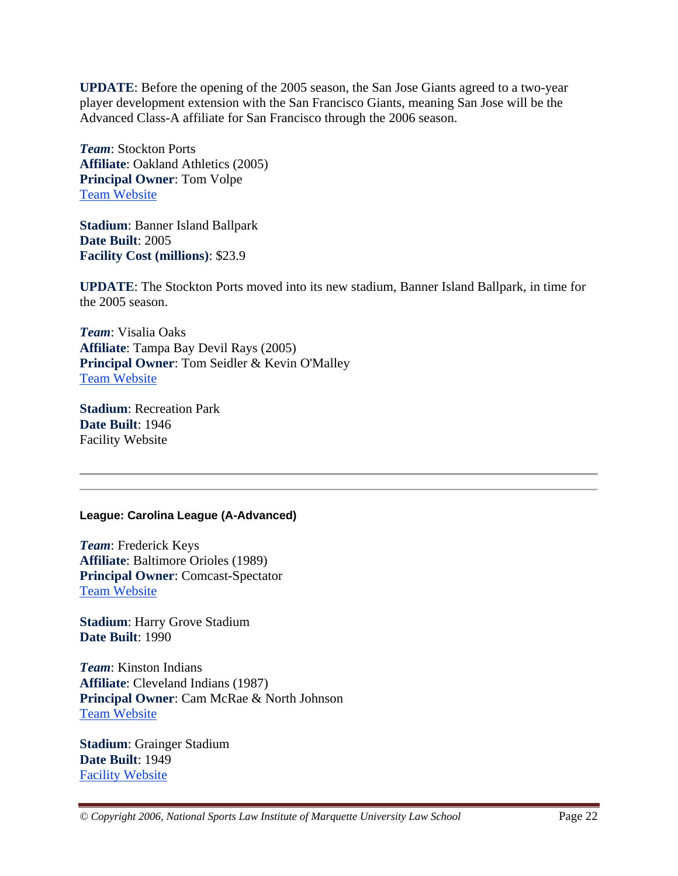**UPDATE**: Before the opening of the 2005 season, the San Jose Giants agreed to a two-year player development extension with the San Francisco Giants, meaning San Jose will be the Advanced Class-A affiliate for San Francisco through the 2006 season.

*Team*: Stockton Ports **Affiliate**: Oakland Athletics (2005) **Principal Owner**: Tom Volpe Team Website

**Stadium**: Banner Island Ballpark **Date Built**: 2005 **Facility Cost (millions)**: \$23.9

**UPDATE**: The Stockton Ports moved into its new stadium, Banner Island Ballpark, in time for the 2005 season.

*Team*: Visalia Oaks **Affiliate**: Tampa Bay Devil Rays (2005) **Principal Owner**: Tom Seidler & Kevin O'Malley Team Website

**Stadium**: Recreation Park **Date Built**: 1946 Facility Website

#### **League: Carolina League (A-Advanced)**

*Team*: Frederick Keys **Affiliate**: Baltimore Orioles (1989) **Principal Owner**: Comcast-Spectator Team Website

**Stadium**: Harry Grove Stadium **Date Built**: 1990

*Team*: Kinston Indians **Affiliate**: Cleveland Indians (1987) **Principal Owner**: Cam McRae & North Johnson Team Website

**Stadium**: Grainger Stadium **Date Built**: 1949 Facility Website

*© Copyright 2006, National Sports Law Institute of Marquette University Law School* Page 22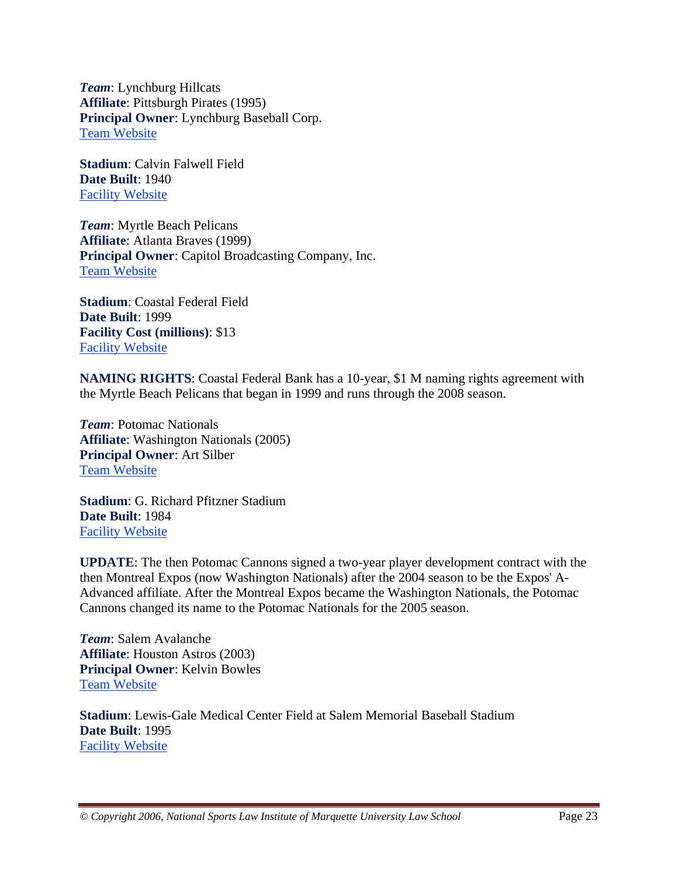*Team*: Lynchburg Hillcats **Affiliate**: Pittsburgh Pirates (1995) **Principal Owner**: Lynchburg Baseball Corp. Team Website

**Stadium**: Calvin Falwell Field **Date Built**: 1940 Facility Website

*Team*: Myrtle Beach Pelicans **Affiliate**: Atlanta Braves (1999) **Principal Owner**: Capitol Broadcasting Company, Inc. Team Website

**Stadium**: Coastal Federal Field **Date Built**: 1999 **Facility Cost (millions)**: \$13 Facility Website

**NAMING RIGHTS**: Coastal Federal Bank has a 10-year, \$1 M naming rights agreement with the Myrtle Beach Pelicans that began in 1999 and runs through the 2008 season.

*Team*: Potomac Nationals **Affiliate**: Washington Nationals (2005) **Principal Owner**: Art Silber Team Website

**Stadium**: G. Richard Pfitzner Stadium **Date Built**: 1984 Facility Website

**UPDATE**: The then Potomac Cannons signed a two-year player development contract with the then Montreal Expos (now Washington Nationals) after the 2004 season to be the Expos' A-Advanced affiliate. After the Montreal Expos became the Washington Nationals, the Potomac Cannons changed its name to the Potomac Nationals for the 2005 season.

*Team*: Salem Avalanche **Affiliate**: Houston Astros (2003) **Principal Owner**: Kelvin Bowles Team Website

**Stadium**: Lewis-Gale Medical Center Field at Salem Memorial Baseball Stadium **Date Built**: 1995 Facility Website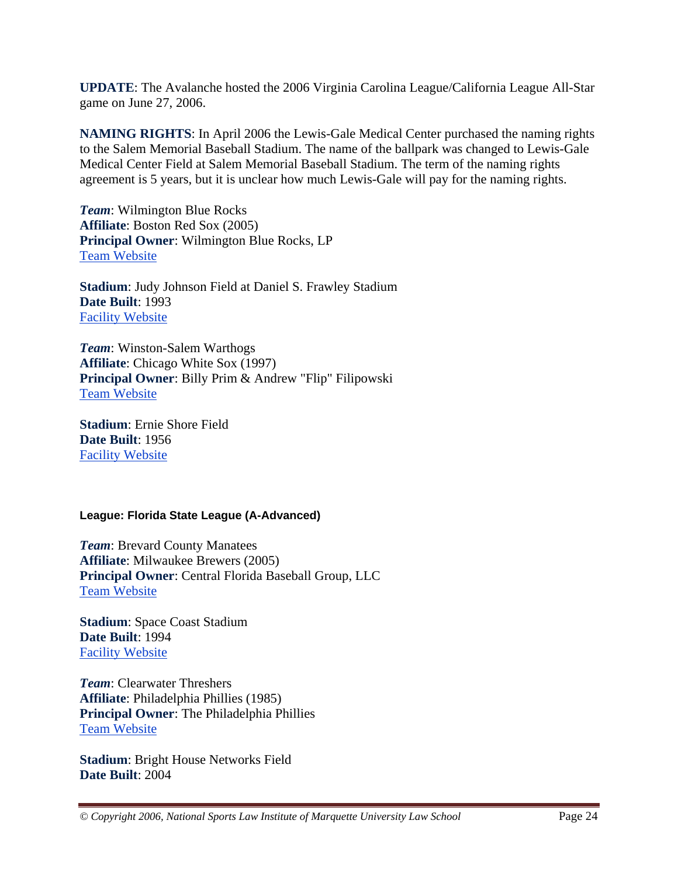**UPDATE**: The Avalanche hosted the 2006 Virginia Carolina League/California League All-Star game on June 27, 2006.

**NAMING RIGHTS**: In April 2006 the Lewis-Gale Medical Center purchased the naming rights to the Salem Memorial Baseball Stadium. The name of the ballpark was changed to Lewis-Gale Medical Center Field at Salem Memorial Baseball Stadium. The term of the naming rights agreement is 5 years, but it is unclear how much Lewis-Gale will pay for the naming rights.

*Team*: Wilmington Blue Rocks **Affiliate**: Boston Red Sox (2005) **Principal Owner**: Wilmington Blue Rocks, LP Team Website

**Stadium**: Judy Johnson Field at Daniel S. Frawley Stadium **Date Built**: 1993 Facility Website

*Team*: Winston-Salem Warthogs **Affiliate**: Chicago White Sox (1997) **Principal Owner**: Billy Prim & Andrew "Flip" Filipowski Team Website

**Stadium**: Ernie Shore Field **Date Built**: 1956 Facility Website

#### **League: Florida State League (A-Advanced)**

*Team*: Brevard County Manatees **Affiliate**: Milwaukee Brewers (2005) **Principal Owner**: Central Florida Baseball Group, LLC Team Website

**Stadium**: Space Coast Stadium **Date Built**: 1994 Facility Website

*Team*: Clearwater Threshers **Affiliate**: Philadelphia Phillies (1985) **Principal Owner**: The Philadelphia Phillies Team Website

**Stadium**: Bright House Networks Field **Date Built**: 2004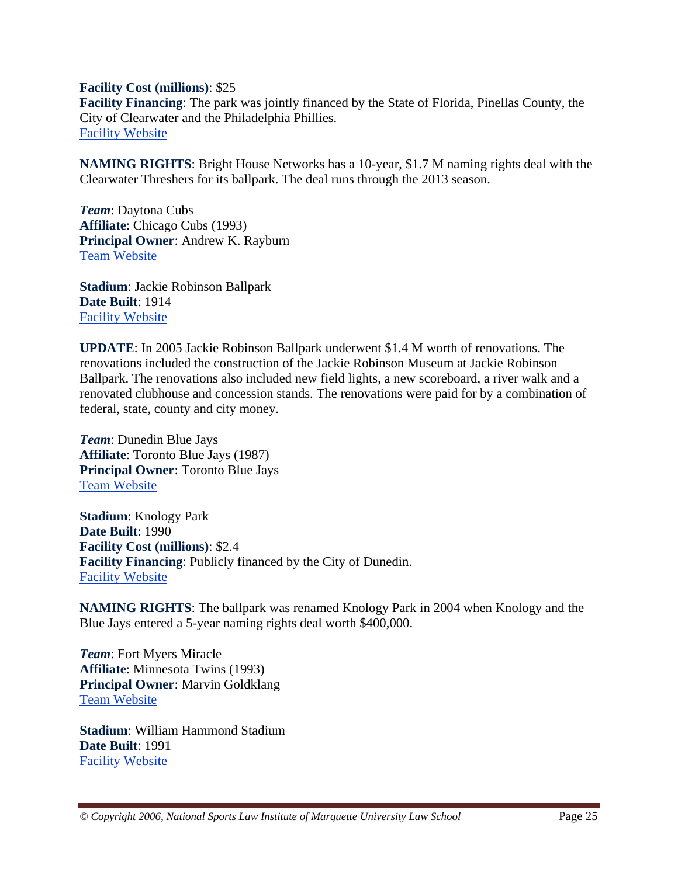**Facility Cost (millions)**: \$25

**Facility Financing**: The park was jointly financed by the State of Florida, Pinellas County, the City of Clearwater and the Philadelphia Phillies. Facility Website

**NAMING RIGHTS**: Bright House Networks has a 10-year, \$1.7 M naming rights deal with the Clearwater Threshers for its ballpark. The deal runs through the 2013 season.

*Team*: Daytona Cubs **Affiliate**: Chicago Cubs (1993) **Principal Owner**: Andrew K. Rayburn Team Website

**Stadium**: Jackie Robinson Ballpark **Date Built**: 1914 Facility Website

**UPDATE**: In 2005 Jackie Robinson Ballpark underwent \$1.4 M worth of renovations. The renovations included the construction of the Jackie Robinson Museum at Jackie Robinson Ballpark. The renovations also included new field lights, a new scoreboard, a river walk and a renovated clubhouse and concession stands. The renovations were paid for by a combination of federal, state, county and city money.

*Team*: Dunedin Blue Jays **Affiliate**: Toronto Blue Jays (1987) **Principal Owner**: Toronto Blue Jays Team Website

**Stadium**: Knology Park **Date Built**: 1990 **Facility Cost (millions)**: \$2.4 **Facility Financing**: Publicly financed by the City of Dunedin. Facility Website

**NAMING RIGHTS**: The ballpark was renamed Knology Park in 2004 when Knology and the Blue Jays entered a 5-year naming rights deal worth \$400,000.

*Team*: Fort Myers Miracle **Affiliate**: Minnesota Twins (1993) **Principal Owner**: Marvin Goldklang Team Website

**Stadium**: William Hammond Stadium **Date Built**: 1991 Facility Website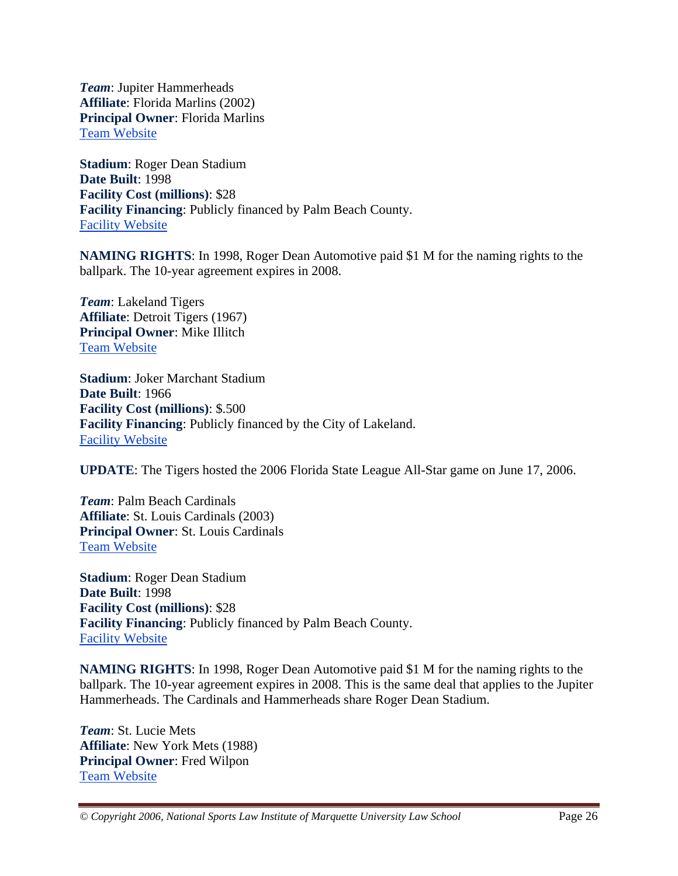*Team*: Jupiter Hammerheads **Affiliate**: Florida Marlins (2002) **Principal Owner**: Florida Marlins Team Website

**Stadium**: Roger Dean Stadium **Date Built**: 1998 **Facility Cost (millions)**: \$28 **Facility Financing**: Publicly financed by Palm Beach County. Facility Website

**NAMING RIGHTS**: In 1998, Roger Dean Automotive paid \$1 M for the naming rights to the ballpark. The 10-year agreement expires in 2008.

*Team*: Lakeland Tigers **Affiliate**: Detroit Tigers (1967) **Principal Owner**: Mike Illitch Team Website

**Stadium**: Joker Marchant Stadium **Date Built**: 1966 **Facility Cost (millions)**: \$.500 **Facility Financing**: Publicly financed by the City of Lakeland. Facility Website

**UPDATE**: The Tigers hosted the 2006 Florida State League All-Star game on June 17, 2006.

*Team*: Palm Beach Cardinals **Affiliate**: St. Louis Cardinals (2003) **Principal Owner**: St. Louis Cardinals Team Website

**Stadium**: Roger Dean Stadium **Date Built**: 1998 **Facility Cost (millions)**: \$28 **Facility Financing**: Publicly financed by Palm Beach County. Facility Website

**NAMING RIGHTS**: In 1998, Roger Dean Automotive paid \$1 M for the naming rights to the ballpark. The 10-year agreement expires in 2008. This is the same deal that applies to the Jupiter Hammerheads. The Cardinals and Hammerheads share Roger Dean Stadium.

*Team*: St. Lucie Mets **Affiliate**: New York Mets (1988) **Principal Owner**: Fred Wilpon Team Website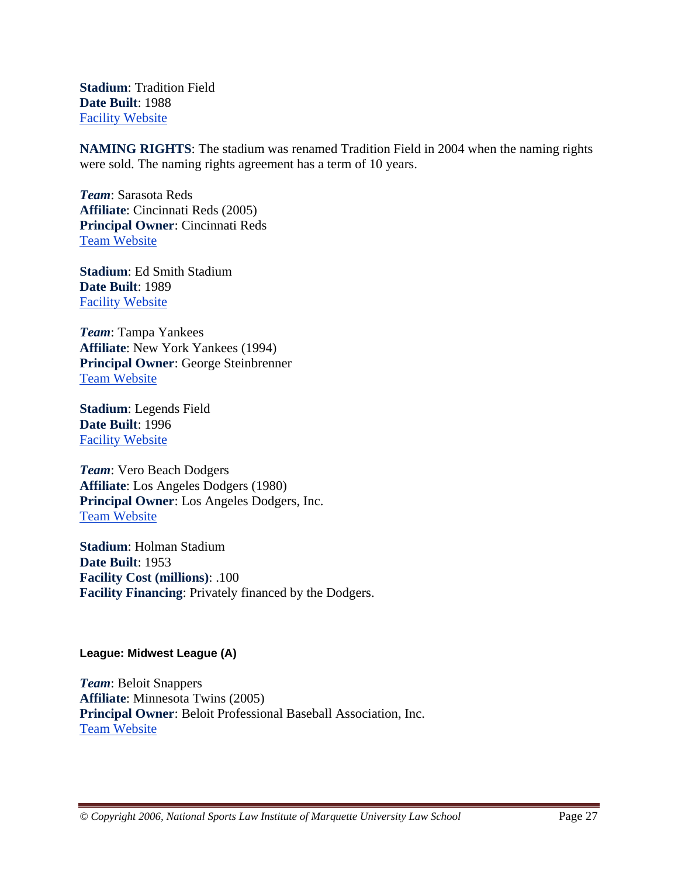**Stadium**: Tradition Field **Date Built**: 1988 Facility Website

**NAMING RIGHTS**: The stadium was renamed Tradition Field in 2004 when the naming rights were sold. The naming rights agreement has a term of 10 years.

*Team*: Sarasota Reds **Affiliate**: Cincinnati Reds (2005) **Principal Owner**: Cincinnati Reds Team Website

**Stadium**: Ed Smith Stadium **Date Built**: 1989 Facility Website

*Team*: Tampa Yankees **Affiliate**: New York Yankees (1994) **Principal Owner**: George Steinbrenner Team Website

**Stadium**: Legends Field **Date Built**: 1996 Facility Website

*Team*: Vero Beach Dodgers **Affiliate**: Los Angeles Dodgers (1980) **Principal Owner**: Los Angeles Dodgers, Inc. Team Website

**Stadium**: Holman Stadium **Date Built**: 1953 **Facility Cost (millions)**: .100 **Facility Financing**: Privately financed by the Dodgers.

#### **League: Midwest League (A)**

*Team*: Beloit Snappers **Affiliate**: Minnesota Twins (2005) **Principal Owner**: Beloit Professional Baseball Association, Inc. Team Website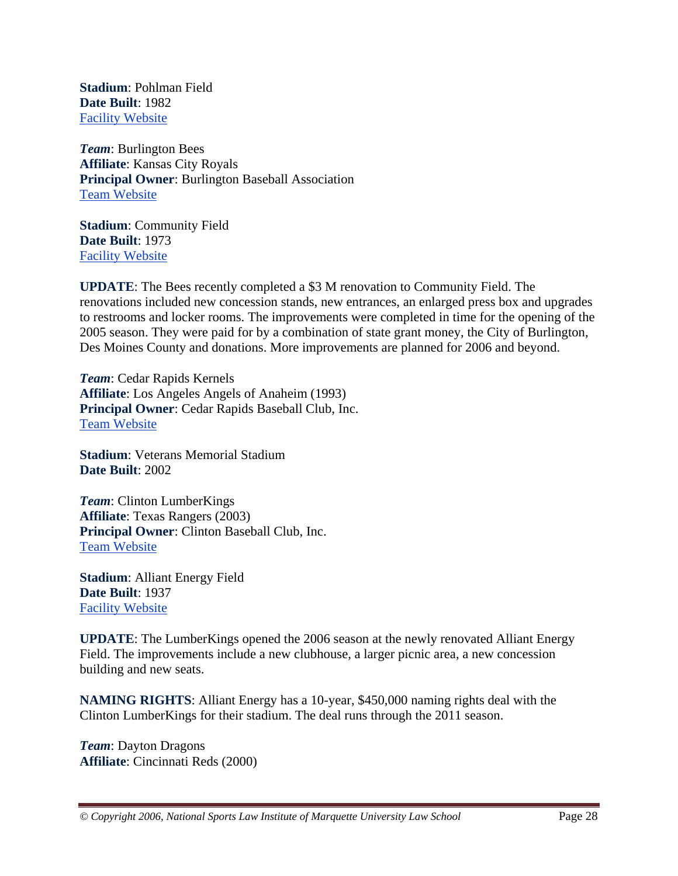**Stadium**: Pohlman Field **Date Built**: 1982 Facility Website

*Team*: Burlington Bees **Affiliate**: Kansas City Royals **Principal Owner**: Burlington Baseball Association Team Website

**Stadium**: Community Field **Date Built**: 1973 Facility Website

**UPDATE**: The Bees recently completed a \$3 M renovation to Community Field. The renovations included new concession stands, new entrances, an enlarged press box and upgrades to restrooms and locker rooms. The improvements were completed in time for the opening of the 2005 season. They were paid for by a combination of state grant money, the City of Burlington, Des Moines County and donations. More improvements are planned for 2006 and beyond.

*Team*: Cedar Rapids Kernels **Affiliate**: Los Angeles Angels of Anaheim (1993) **Principal Owner**: Cedar Rapids Baseball Club, Inc. Team Website

**Stadium**: Veterans Memorial Stadium **Date Built**: 2002

*Team*: Clinton LumberKings **Affiliate**: Texas Rangers (2003) **Principal Owner**: Clinton Baseball Club, Inc. Team Website

**Stadium**: Alliant Energy Field **Date Built**: 1937 Facility Website

**UPDATE**: The LumberKings opened the 2006 season at the newly renovated Alliant Energy Field. The improvements include a new clubhouse, a larger picnic area, a new concession building and new seats.

**NAMING RIGHTS**: Alliant Energy has a 10-year, \$450,000 naming rights deal with the Clinton LumberKings for their stadium. The deal runs through the 2011 season.

*Team*: Dayton Dragons **Affiliate**: Cincinnati Reds (2000)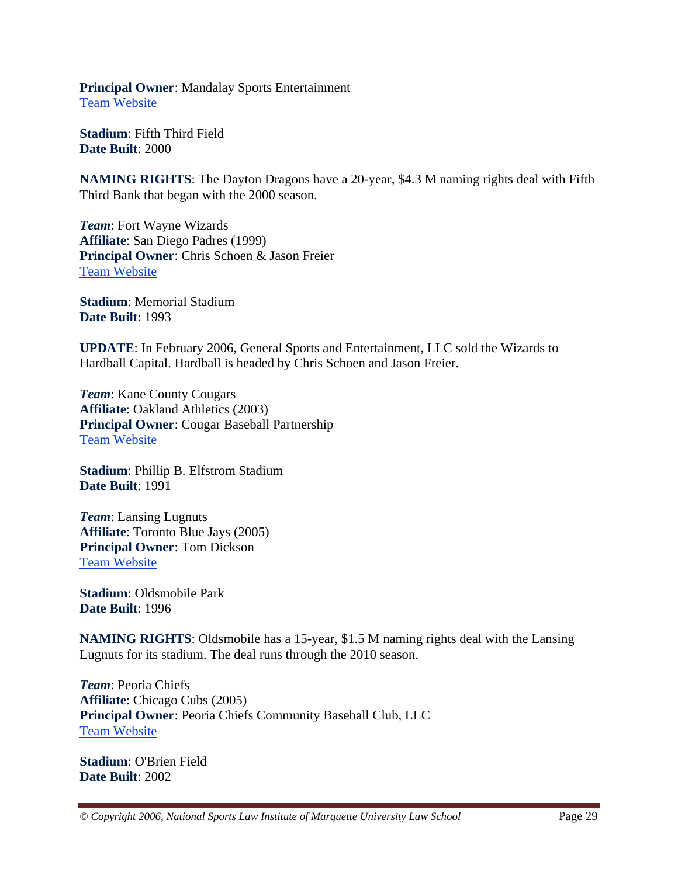**Principal Owner**: Mandalay Sports Entertainment Team Website

**Stadium**: Fifth Third Field **Date Built**: 2000

**NAMING RIGHTS**: The Dayton Dragons have a 20-year, \$4.3 M naming rights deal with Fifth Third Bank that began with the 2000 season.

*Team*: Fort Wayne Wizards **Affiliate**: San Diego Padres (1999) **Principal Owner**: Chris Schoen & Jason Freier Team Website

**Stadium**: Memorial Stadium **Date Built**: 1993

**UPDATE**: In February 2006, General Sports and Entertainment, LLC sold the Wizards to Hardball Capital. Hardball is headed by Chris Schoen and Jason Freier.

*Team*: Kane County Cougars **Affiliate**: Oakland Athletics (2003) **Principal Owner**: Cougar Baseball Partnership Team Website

**Stadium**: Phillip B. Elfstrom Stadium **Date Built**: 1991

*Team*: Lansing Lugnuts **Affiliate**: Toronto Blue Jays (2005) **Principal Owner**: Tom Dickson Team Website

**Stadium**: Oldsmobile Park **Date Built**: 1996

**NAMING RIGHTS**: Oldsmobile has a 15-year, \$1.5 M naming rights deal with the Lansing Lugnuts for its stadium. The deal runs through the 2010 season.

*Team*: Peoria Chiefs **Affiliate**: Chicago Cubs (2005) **Principal Owner**: Peoria Chiefs Community Baseball Club, LLC Team Website

**Stadium**: O'Brien Field **Date Built**: 2002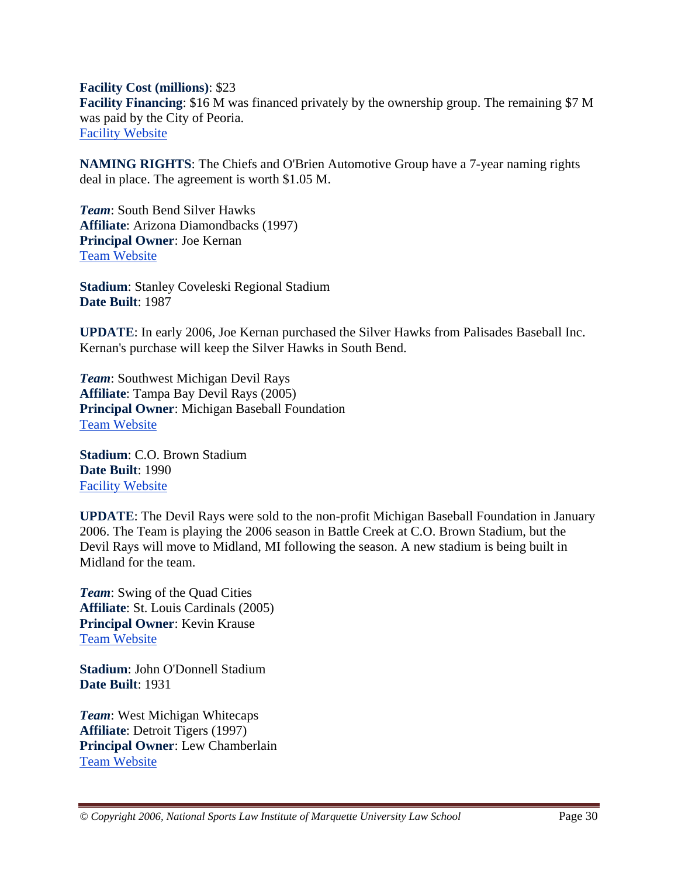**Facility Cost (millions)**: \$23 **Facility Financing**: \$16 M was financed privately by the ownership group. The remaining \$7 M was paid by the City of Peoria. Facility Website

**NAMING RIGHTS**: The Chiefs and O'Brien Automotive Group have a 7-year naming rights deal in place. The agreement is worth \$1.05 M.

*Team*: South Bend Silver Hawks **Affiliate**: Arizona Diamondbacks (1997) **Principal Owner**: Joe Kernan Team Website

**Stadium**: Stanley Coveleski Regional Stadium **Date Built**: 1987

**UPDATE**: In early 2006, Joe Kernan purchased the Silver Hawks from Palisades Baseball Inc. Kernan's purchase will keep the Silver Hawks in South Bend.

*Team*: Southwest Michigan Devil Rays **Affiliate**: Tampa Bay Devil Rays (2005) **Principal Owner**: Michigan Baseball Foundation Team Website

**Stadium**: C.O. Brown Stadium **Date Built**: 1990 Facility Website

**UPDATE**: The Devil Rays were sold to the non-profit Michigan Baseball Foundation in January 2006. The Team is playing the 2006 season in Battle Creek at C.O. Brown Stadium, but the Devil Rays will move to Midland, MI following the season. A new stadium is being built in Midland for the team.

*Team*: Swing of the Quad Cities **Affiliate**: St. Louis Cardinals (2005) **Principal Owner**: Kevin Krause Team Website

**Stadium**: John O'Donnell Stadium **Date Built**: 1931

*Team*: West Michigan Whitecaps **Affiliate**: Detroit Tigers (1997) **Principal Owner**: Lew Chamberlain Team Website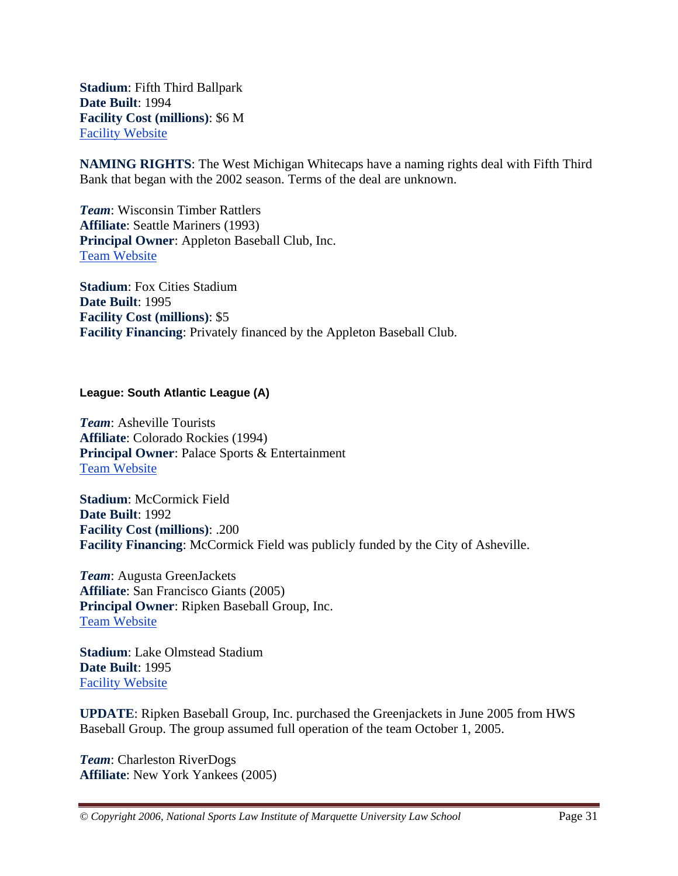**Stadium**: Fifth Third Ballpark **Date Built**: 1994 **Facility Cost (millions)**: \$6 M Facility Website

**NAMING RIGHTS**: The West Michigan Whitecaps have a naming rights deal with Fifth Third Bank that began with the 2002 season. Terms of the deal are unknown.

*Team*: Wisconsin Timber Rattlers **Affiliate**: Seattle Mariners (1993) **Principal Owner**: Appleton Baseball Club, Inc. Team Website

**Stadium**: Fox Cities Stadium **Date Built**: 1995 **Facility Cost (millions)**: \$5 **Facility Financing**: Privately financed by the Appleton Baseball Club.

#### **League: South Atlantic League (A)**

*Team*: Asheville Tourists **Affiliate**: Colorado Rockies (1994) **Principal Owner**: Palace Sports & Entertainment Team Website

**Stadium**: McCormick Field **Date Built**: 1992 **Facility Cost (millions)**: .200 **Facility Financing**: McCormick Field was publicly funded by the City of Asheville.

*Team*: Augusta GreenJackets **Affiliate**: San Francisco Giants (2005) **Principal Owner**: Ripken Baseball Group, Inc. Team Website

**Stadium**: Lake Olmstead Stadium **Date Built**: 1995 Facility Website

**UPDATE**: Ripken Baseball Group, Inc. purchased the Greenjackets in June 2005 from HWS Baseball Group. The group assumed full operation of the team October 1, 2005.

*Team*: Charleston RiverDogs **Affiliate**: New York Yankees (2005)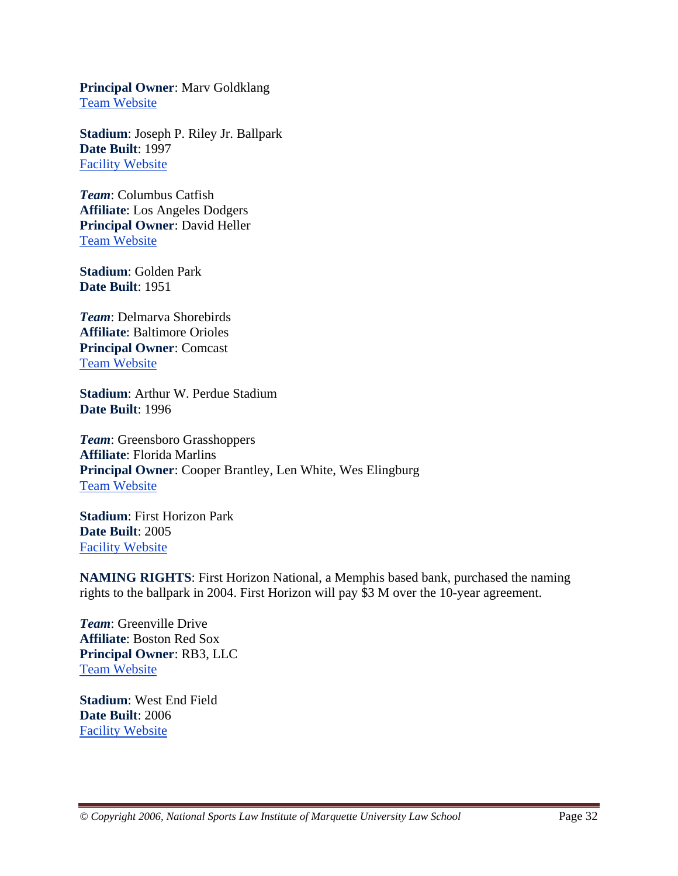**Principal Owner**: Marv Goldklang Team Website

**Stadium**: Joseph P. Riley Jr. Ballpark **Date Built**: 1997 Facility Website

*Team*: Columbus Catfish **Affiliate**: Los Angeles Dodgers **Principal Owner**: David Heller Team Website

**Stadium**: Golden Park **Date Built**: 1951

*Team*: Delmarva Shorebirds **Affiliate**: Baltimore Orioles **Principal Owner**: Comcast Team Website

**Stadium**: Arthur W. Perdue Stadium **Date Built**: 1996

*Team*: Greensboro Grasshoppers **Affiliate**: Florida Marlins **Principal Owner**: Cooper Brantley, Len White, Wes Elingburg Team Website

**Stadium**: First Horizon Park **Date Built**: 2005 Facility Website

**NAMING RIGHTS**: First Horizon National, a Memphis based bank, purchased the naming rights to the ballpark in 2004. First Horizon will pay \$3 M over the 10-year agreement.

*Team*: Greenville Drive **Affiliate**: Boston Red Sox **Principal Owner**: RB3, LLC Team Website

**Stadium**: West End Field **Date Built**: 2006 Facility Website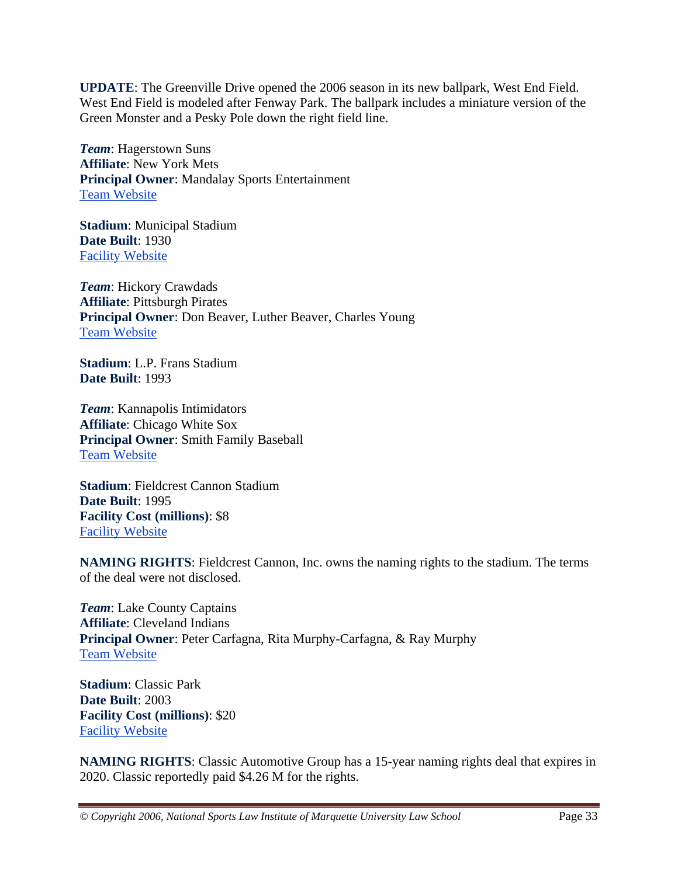**UPDATE**: The Greenville Drive opened the 2006 season in its new ballpark, West End Field. West End Field is modeled after Fenway Park. The ballpark includes a miniature version of the Green Monster and a Pesky Pole down the right field line.

*Team*: Hagerstown Suns **Affiliate**: New York Mets **Principal Owner**: Mandalay Sports Entertainment Team Website

**Stadium**: Municipal Stadium **Date Built**: 1930 Facility Website

*Team*: Hickory Crawdads **Affiliate**: Pittsburgh Pirates **Principal Owner**: Don Beaver, Luther Beaver, Charles Young Team Website

**Stadium**: L.P. Frans Stadium **Date Built**: 1993

*Team*: Kannapolis Intimidators **Affiliate**: Chicago White Sox **Principal Owner**: Smith Family Baseball Team Website

**Stadium**: Fieldcrest Cannon Stadium **Date Built**: 1995 **Facility Cost (millions)**: \$8 Facility Website

**NAMING RIGHTS**: Fieldcrest Cannon, Inc. owns the naming rights to the stadium. The terms of the deal were not disclosed.

*Team*: Lake County Captains **Affiliate**: Cleveland Indians **Principal Owner**: Peter Carfagna, Rita Murphy-Carfagna, & Ray Murphy Team Website

**Stadium**: Classic Park **Date Built**: 2003 **Facility Cost (millions)**: \$20 Facility Website

**NAMING RIGHTS**: Classic Automotive Group has a 15-year naming rights deal that expires in 2020. Classic reportedly paid \$4.26 M for the rights.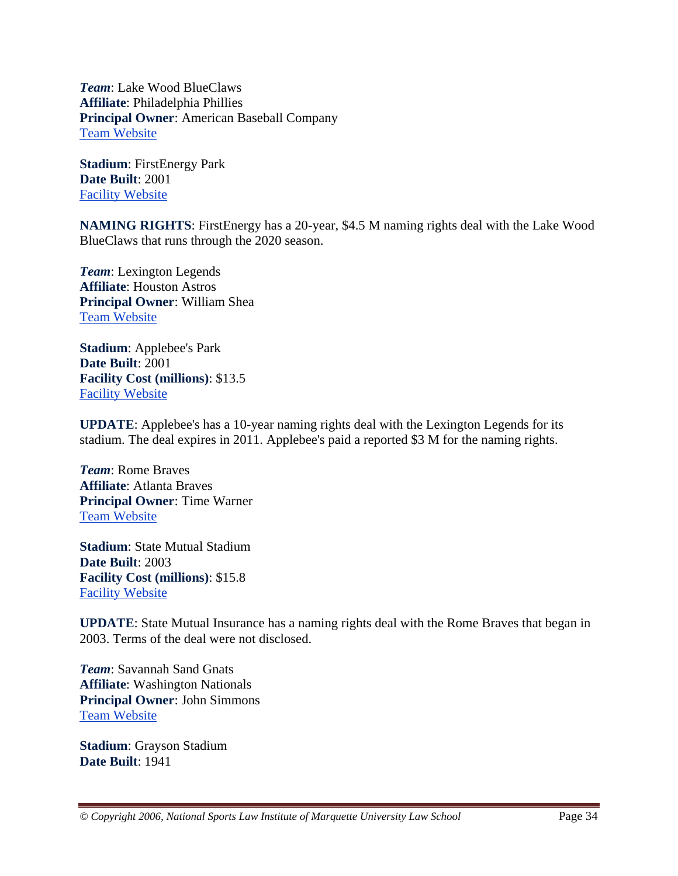*Team*: Lake Wood BlueClaws **Affiliate**: Philadelphia Phillies **Principal Owner**: American Baseball Company Team Website

**Stadium**: FirstEnergy Park **Date Built**: 2001 Facility Website

**NAMING RIGHTS**: FirstEnergy has a 20-year, \$4.5 M naming rights deal with the Lake Wood BlueClaws that runs through the 2020 season.

*Team*: Lexington Legends **Affiliate**: Houston Astros **Principal Owner**: William Shea Team Website

**Stadium**: Applebee's Park **Date Built**: 2001 **Facility Cost (millions)**: \$13.5 Facility Website

**UPDATE**: Applebee's has a 10-year naming rights deal with the Lexington Legends for its stadium. The deal expires in 2011. Applebee's paid a reported \$3 M for the naming rights.

*Team*: Rome Braves **Affiliate**: Atlanta Braves **Principal Owner**: Time Warner Team Website

**Stadium**: State Mutual Stadium **Date Built**: 2003 **Facility Cost (millions)**: \$15.8 Facility Website

**UPDATE**: State Mutual Insurance has a naming rights deal with the Rome Braves that began in 2003. Terms of the deal were not disclosed.

*Team*: Savannah Sand Gnats **Affiliate**: Washington Nationals **Principal Owner**: John Simmons Team Website

**Stadium**: Grayson Stadium **Date Built**: 1941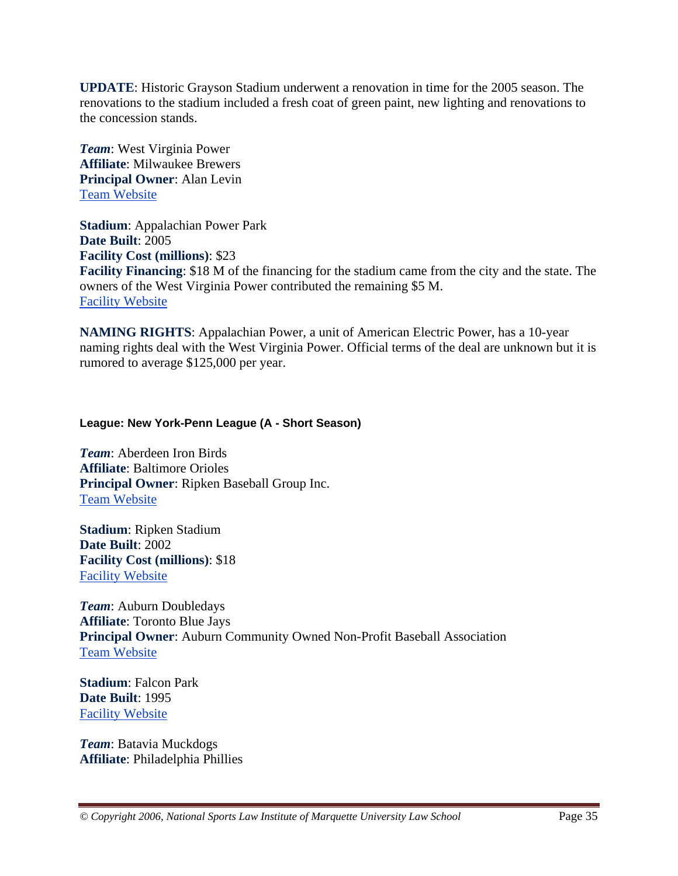**UPDATE**: Historic Grayson Stadium underwent a renovation in time for the 2005 season. The renovations to the stadium included a fresh coat of green paint, new lighting and renovations to the concession stands.

*Team*: West Virginia Power **Affiliate**: Milwaukee Brewers **Principal Owner**: Alan Levin Team Website

**Stadium**: Appalachian Power Park **Date Built**: 2005 **Facility Cost (millions)**: \$23 **Facility Financing**: \$18 M of the financing for the stadium came from the city and the state. The owners of the West Virginia Power contributed the remaining \$5 M. Facility Website

**NAMING RIGHTS**: Appalachian Power, a unit of American Electric Power, has a 10-year naming rights deal with the West Virginia Power. Official terms of the deal are unknown but it is rumored to average \$125,000 per year.

#### **League: New York-Penn League (A - Short Season)**

*Team*: Aberdeen Iron Birds **Affiliate**: Baltimore Orioles **Principal Owner**: Ripken Baseball Group Inc. Team Website

**Stadium**: Ripken Stadium **Date Built**: 2002 **Facility Cost (millions)**: \$18 Facility Website

*Team*: Auburn Doubledays **Affiliate**: Toronto Blue Jays **Principal Owner**: Auburn Community Owned Non-Profit Baseball Association Team Website

**Stadium**: Falcon Park **Date Built**: 1995 Facility Website

*Team*: Batavia Muckdogs **Affiliate**: Philadelphia Phillies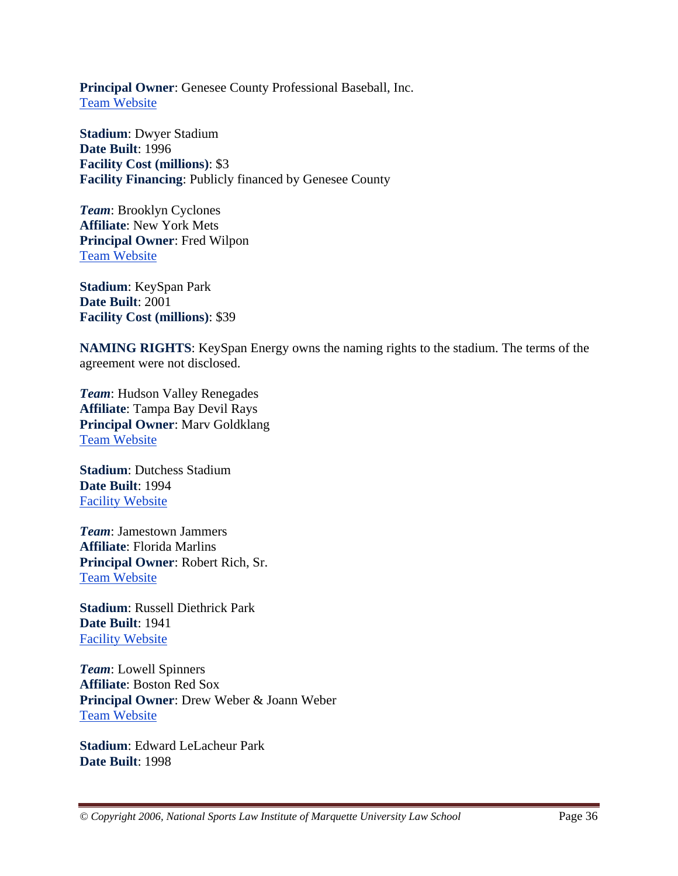**Principal Owner**: Genesee County Professional Baseball, Inc. Team Website

**Stadium**: Dwyer Stadium **Date Built**: 1996 **Facility Cost (millions)**: \$3 **Facility Financing**: Publicly financed by Genesee County

*Team*: Brooklyn Cyclones **Affiliate**: New York Mets **Principal Owner**: Fred Wilpon Team Website

**Stadium**: KeySpan Park **Date Built**: 2001 **Facility Cost (millions)**: \$39

**NAMING RIGHTS**: KeySpan Energy owns the naming rights to the stadium. The terms of the agreement were not disclosed.

*Team*: Hudson Valley Renegades **Affiliate**: Tampa Bay Devil Rays **Principal Owner**: Marv Goldklang Team Website

**Stadium**: Dutchess Stadium **Date Built**: 1994 Facility Website

*Team*: Jamestown Jammers **Affiliate**: Florida Marlins **Principal Owner**: Robert Rich, Sr. Team Website

**Stadium**: Russell Diethrick Park **Date Built**: 1941 Facility Website

*Team*: Lowell Spinners **Affiliate**: Boston Red Sox **Principal Owner**: Drew Weber & Joann Weber Team Website

**Stadium**: Edward LeLacheur Park **Date Built**: 1998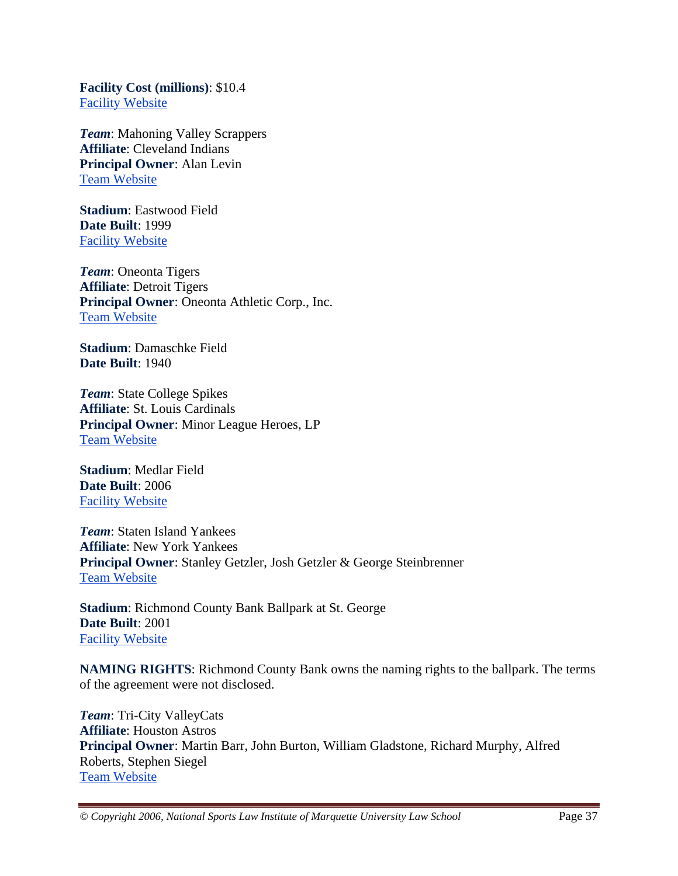**Facility Cost (millions)**: \$10.4 Facility Website

*Team*: Mahoning Valley Scrappers **Affiliate**: Cleveland Indians **Principal Owner**: Alan Levin Team Website

**Stadium**: Eastwood Field **Date Built**: 1999 Facility Website

*Team*: Oneonta Tigers **Affiliate**: Detroit Tigers **Principal Owner**: Oneonta Athletic Corp., Inc. Team Website

**Stadium**: Damaschke Field **Date Built**: 1940

*Team*: State College Spikes **Affiliate**: St. Louis Cardinals **Principal Owner**: Minor League Heroes, LP Team Website

**Stadium**: Medlar Field **Date Built**: 2006 Facility Website

*Team*: Staten Island Yankees **Affiliate**: New York Yankees **Principal Owner**: Stanley Getzler, Josh Getzler & George Steinbrenner Team Website

**Stadium**: Richmond County Bank Ballpark at St. George **Date Built**: 2001 Facility Website

**NAMING RIGHTS**: Richmond County Bank owns the naming rights to the ballpark. The terms of the agreement were not disclosed.

*Team*: Tri-City ValleyCats **Affiliate**: Houston Astros **Principal Owner**: Martin Barr, John Burton, William Gladstone, Richard Murphy, Alfred Roberts, Stephen Siegel Team Website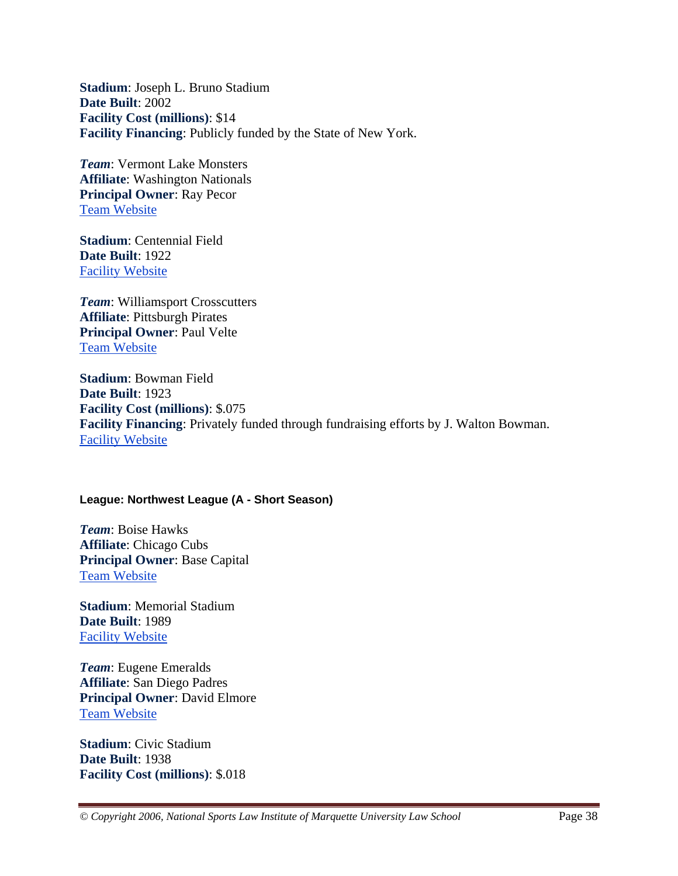**Stadium**: Joseph L. Bruno Stadium **Date Built**: 2002 **Facility Cost (millions)**: \$14 **Facility Financing**: Publicly funded by the State of New York.

*Team*: Vermont Lake Monsters **Affiliate**: Washington Nationals **Principal Owner**: Ray Pecor Team Website

**Stadium**: Centennial Field **Date Built**: 1922 Facility Website

*Team*: Williamsport Crosscutters **Affiliate**: Pittsburgh Pirates **Principal Owner**: Paul Velte Team Website

**Stadium**: Bowman Field **Date Built**: 1923 **Facility Cost (millions)**: \$.075 **Facility Financing**: Privately funded through fundraising efforts by J. Walton Bowman. Facility Website

#### **League: Northwest League (A - Short Season)**

*Team*: Boise Hawks **Affiliate**: Chicago Cubs **Principal Owner**: Base Capital Team Website

**Stadium**: Memorial Stadium **Date Built**: 1989 Facility Website

*Team*: Eugene Emeralds **Affiliate**: San Diego Padres **Principal Owner**: David Elmore Team Website

**Stadium**: Civic Stadium **Date Built**: 1938 **Facility Cost (millions)**: \$.018

*© Copyright 2006, National Sports Law Institute of Marquette University Law School* Page 38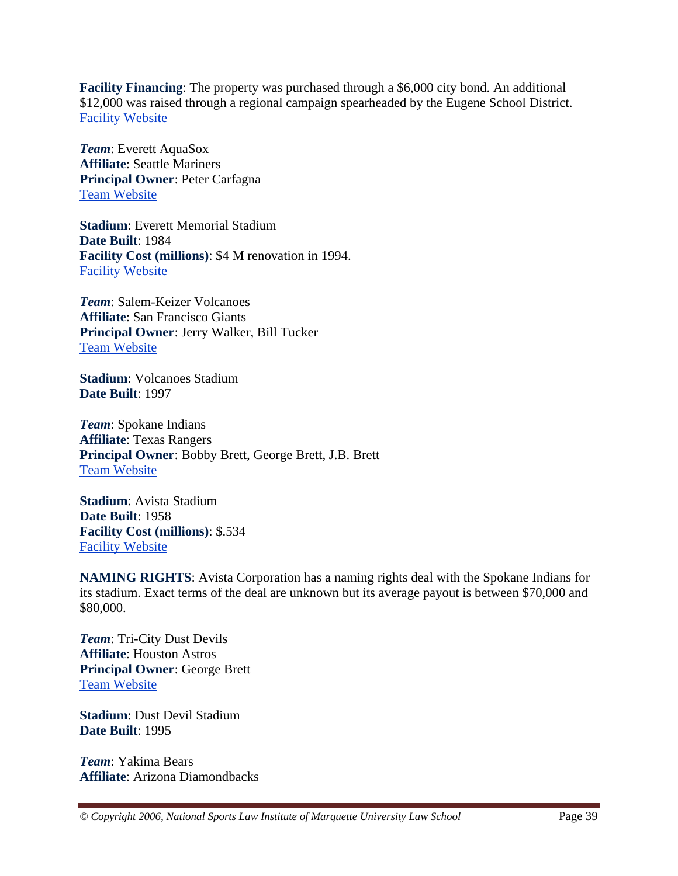**Facility Financing**: The property was purchased through a \$6,000 city bond. An additional \$12,000 was raised through a regional campaign spearheaded by the Eugene School District. Facility Website

*Team*: Everett AquaSox **Affiliate**: Seattle Mariners **Principal Owner**: Peter Carfagna Team Website

**Stadium**: Everett Memorial Stadium **Date Built**: 1984 **Facility Cost (millions)**: \$4 M renovation in 1994. Facility Website

*Team*: Salem-Keizer Volcanoes **Affiliate**: San Francisco Giants **Principal Owner**: Jerry Walker, Bill Tucker Team Website

**Stadium**: Volcanoes Stadium **Date Built**: 1997

*Team*: Spokane Indians **Affiliate**: Texas Rangers **Principal Owner**: Bobby Brett, George Brett, J.B. Brett Team Website

**Stadium**: Avista Stadium **Date Built**: 1958 **Facility Cost (millions)**: \$.534 Facility Website

**NAMING RIGHTS**: Avista Corporation has a naming rights deal with the Spokane Indians for its stadium. Exact terms of the deal are unknown but its average payout is between \$70,000 and \$80,000.

*Team*: Tri-City Dust Devils **Affiliate**: Houston Astros **Principal Owner**: George Brett Team Website

**Stadium**: Dust Devil Stadium **Date Built**: 1995

*Team*: Yakima Bears **Affiliate**: Arizona Diamondbacks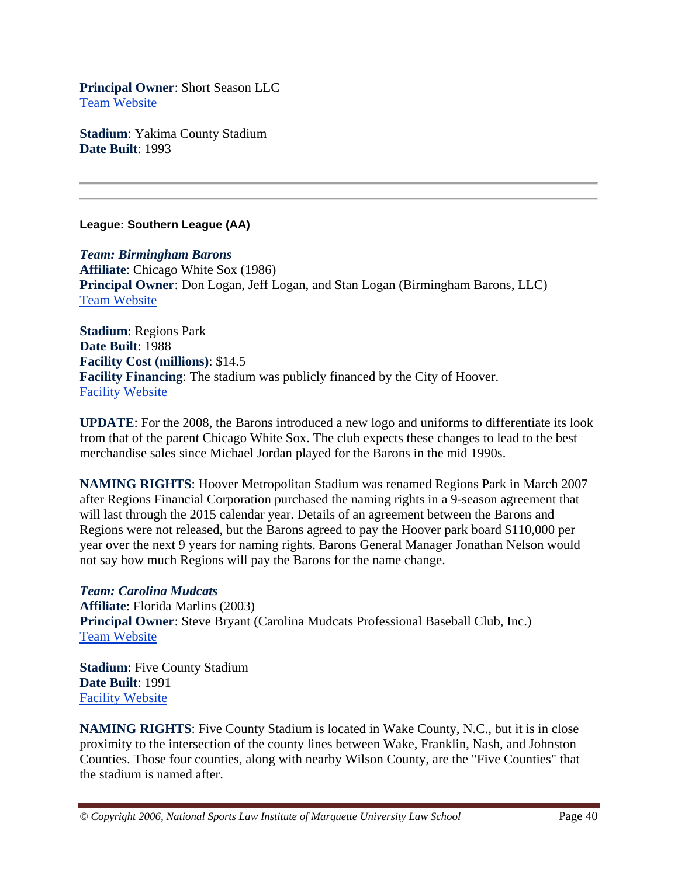**Principal Owner**: Short Season LLC Team Website

**Stadium**: Yakima County Stadium **Date Built**: 1993

#### **League: Southern League (AA)**

*Team: Birmingham Barons* **Affiliate**: Chicago White Sox (1986) **Principal Owner**: Don Logan, Jeff Logan, and Stan Logan (Birmingham Barons, LLC) Team Website

**Stadium**: Regions Park **Date Built**: 1988 **Facility Cost (millions)**: \$14.5 **Facility Financing**: The stadium was publicly financed by the City of Hoover. Facility Website

**UPDATE**: For the 2008, the Barons introduced a new logo and uniforms to differentiate its look from that of the parent Chicago White Sox. The club expects these changes to lead to the best merchandise sales since Michael Jordan played for the Barons in the mid 1990s.

**NAMING RIGHTS**: Hoover Metropolitan Stadium was renamed Regions Park in March 2007 after Regions Financial Corporation purchased the naming rights in a 9-season agreement that will last through the 2015 calendar year. Details of an agreement between the Barons and Regions were not released, but the Barons agreed to pay the Hoover park board \$110,000 per year over the next 9 years for naming rights. Barons General Manager Jonathan Nelson would not say how much Regions will pay the Barons for the name change.

*Team: Carolina Mudcats* **Affiliate**: Florida Marlins (2003) **Principal Owner**: Steve Bryant (Carolina Mudcats Professional Baseball Club, Inc.) Team Website

**Stadium**: Five County Stadium **Date Built**: 1991 Facility Website

**NAMING RIGHTS**: Five County Stadium is located in Wake County, N.C., but it is in close proximity to the intersection of the county lines between Wake, Franklin, Nash, and Johnston Counties. Those four counties, along with nearby Wilson County, are the "Five Counties" that the stadium is named after.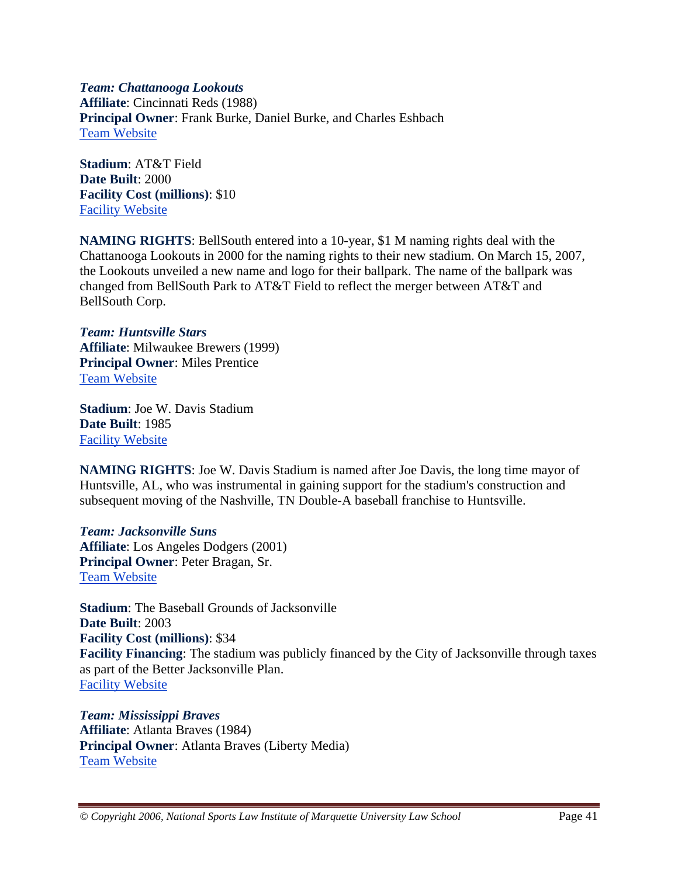*Team: Chattanooga Lookouts* **Affiliate**: Cincinnati Reds (1988) **Principal Owner**: Frank Burke, Daniel Burke, and Charles Eshbach Team Website

**Stadium**: AT&T Field **Date Built**: 2000 **Facility Cost (millions)**: \$10 Facility Website

**NAMING RIGHTS**: BellSouth entered into a 10-year, \$1 M naming rights deal with the Chattanooga Lookouts in 2000 for the naming rights to their new stadium. On March 15, 2007, the Lookouts unveiled a new name and logo for their ballpark. The name of the ballpark was changed from BellSouth Park to AT&T Field to reflect the merger between AT&T and BellSouth Corp.

*Team: Huntsville Stars* **Affiliate**: Milwaukee Brewers (1999) **Principal Owner**: Miles Prentice Team Website

**Stadium**: Joe W. Davis Stadium **Date Built**: 1985 Facility Website

**NAMING RIGHTS**: Joe W. Davis Stadium is named after Joe Davis, the long time mayor of Huntsville, AL, who was instrumental in gaining support for the stadium's construction and subsequent moving of the Nashville, TN Double-A baseball franchise to Huntsville.

*Team: Jacksonville Suns* **Affiliate**: Los Angeles Dodgers (2001) **Principal Owner**: Peter Bragan, Sr. Team Website

**Stadium**: The Baseball Grounds of Jacksonville **Date Built**: 2003 **Facility Cost (millions)**: \$34 **Facility Financing**: The stadium was publicly financed by the City of Jacksonville through taxes as part of the Better Jacksonville Plan. Facility Website

*Team: Mississippi Braves* **Affiliate**: Atlanta Braves (1984) **Principal Owner**: Atlanta Braves (Liberty Media) Team Website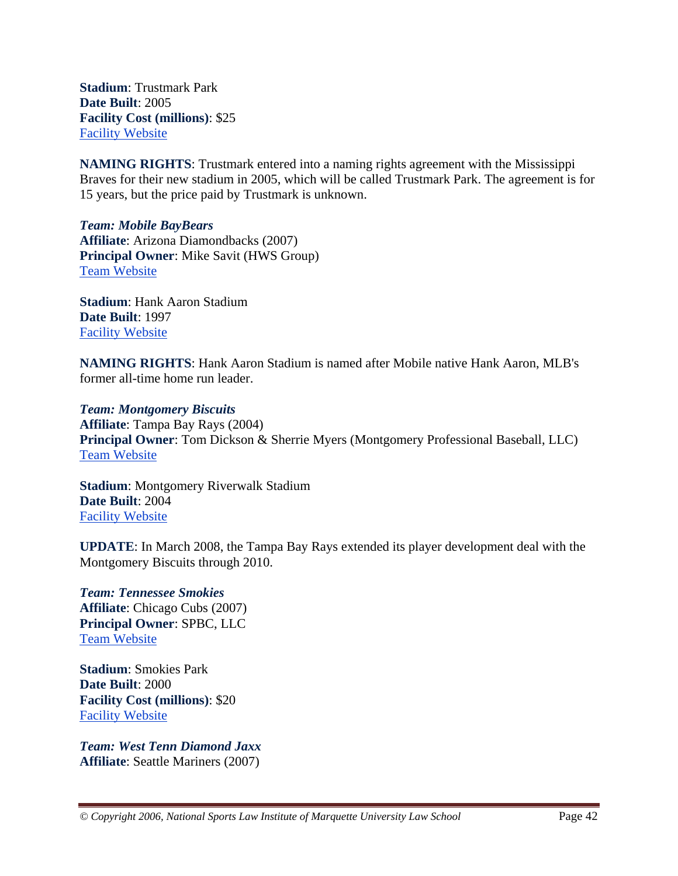**Stadium**: Trustmark Park **Date Built**: 2005 **Facility Cost (millions)**: \$25 Facility Website

**NAMING RIGHTS**: Trustmark entered into a naming rights agreement with the Mississippi Braves for their new stadium in 2005, which will be called Trustmark Park. The agreement is for 15 years, but the price paid by Trustmark is unknown.

*Team: Mobile BayBears* **Affiliate**: Arizona Diamondbacks (2007) **Principal Owner**: Mike Savit (HWS Group) Team Website

**Stadium**: Hank Aaron Stadium **Date Built**: 1997 Facility Website

**NAMING RIGHTS**: Hank Aaron Stadium is named after Mobile native Hank Aaron, MLB's former all-time home run leader.

*Team: Montgomery Biscuits* **Affiliate**: Tampa Bay Rays (2004) **Principal Owner**: Tom Dickson & Sherrie Myers (Montgomery Professional Baseball, LLC) Team Website

**Stadium**: Montgomery Riverwalk Stadium **Date Built**: 2004 Facility Website

**UPDATE**: In March 2008, the Tampa Bay Rays extended its player development deal with the Montgomery Biscuits through 2010.

*Team: Tennessee Smokies* **Affiliate**: Chicago Cubs (2007) **Principal Owner**: SPBC, LLC Team Website

**Stadium**: Smokies Park **Date Built**: 2000 **Facility Cost (millions)**: \$20 Facility Website

*Team: West Tenn Diamond Jaxx* **Affiliate**: Seattle Mariners (2007)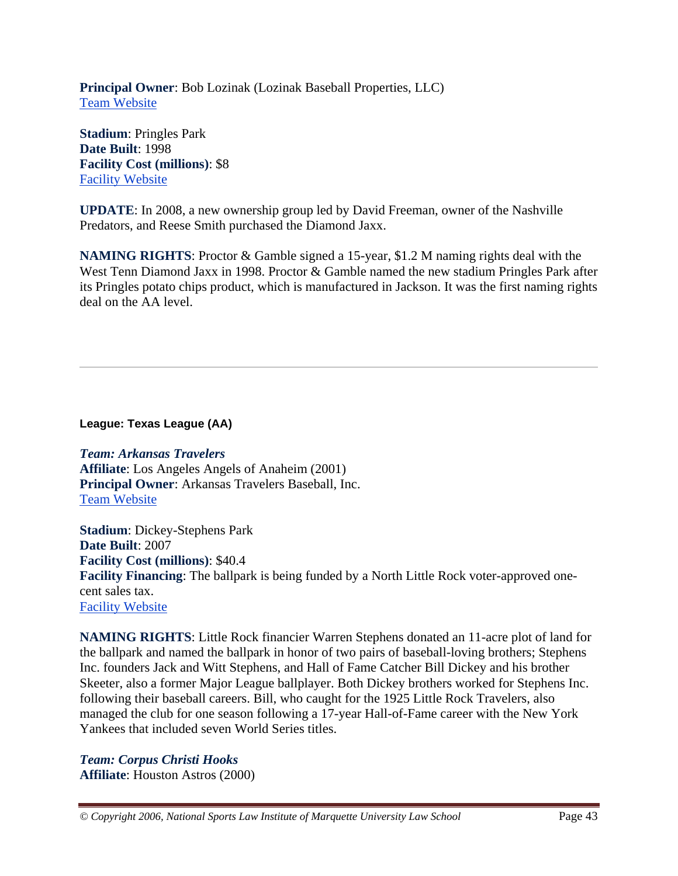**Principal Owner**: Bob Lozinak (Lozinak Baseball Properties, LLC) Team Website

**Stadium**: Pringles Park **Date Built**: 1998 **Facility Cost (millions)**: \$8 Facility Website

**UPDATE**: In 2008, a new ownership group led by David Freeman, owner of the Nashville Predators, and Reese Smith purchased the Diamond Jaxx.

**NAMING RIGHTS**: Proctor & Gamble signed a 15-year, \$1.2 M naming rights deal with the West Tenn Diamond Jaxx in 1998. Proctor & Gamble named the new stadium Pringles Park after its Pringles potato chips product, which is manufactured in Jackson. It was the first naming rights deal on the AA level.

**League: Texas League (AA)** 

*Team: Arkansas Travelers* **Affiliate**: Los Angeles Angels of Anaheim (2001) **Principal Owner**: Arkansas Travelers Baseball, Inc. Team Website

**Stadium**: Dickey-Stephens Park **Date Built**: 2007 **Facility Cost (millions)**: \$40.4 **Facility Financing**: The ballpark is being funded by a North Little Rock voter-approved onecent sales tax. Facility Website

**NAMING RIGHTS**: Little Rock financier Warren Stephens donated an 11-acre plot of land for the ballpark and named the ballpark in honor of two pairs of baseball-loving brothers; Stephens Inc. founders Jack and Witt Stephens, and Hall of Fame Catcher Bill Dickey and his brother Skeeter, also a former Major League ballplayer. Both Dickey brothers worked for Stephens Inc. following their baseball careers. Bill, who caught for the 1925 Little Rock Travelers, also managed the club for one season following a 17-year Hall-of-Fame career with the New York Yankees that included seven World Series titles.

*Team: Corpus Christi Hooks* **Affiliate**: Houston Astros (2000)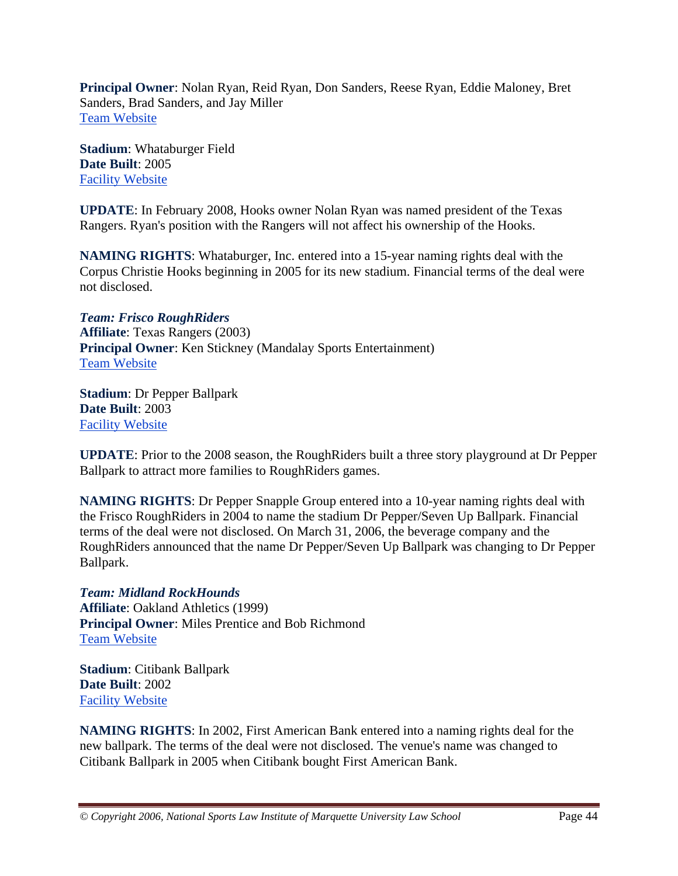**Principal Owner**: Nolan Ryan, Reid Ryan, Don Sanders, Reese Ryan, Eddie Maloney, Bret Sanders, Brad Sanders, and Jay Miller Team Website

**Stadium**: Whataburger Field **Date Built**: 2005 Facility Website

**UPDATE**: In February 2008, Hooks owner Nolan Ryan was named president of the Texas Rangers. Ryan's position with the Rangers will not affect his ownership of the Hooks.

**NAMING RIGHTS**: Whataburger, Inc. entered into a 15-year naming rights deal with the Corpus Christie Hooks beginning in 2005 for its new stadium. Financial terms of the deal were not disclosed.

*Team: Frisco RoughRiders* **Affiliate**: Texas Rangers (2003) **Principal Owner**: Ken Stickney (Mandalay Sports Entertainment) Team Website

**Stadium**: Dr Pepper Ballpark **Date Built**: 2003 Facility Website

**UPDATE**: Prior to the 2008 season, the RoughRiders built a three story playground at Dr Pepper Ballpark to attract more families to RoughRiders games.

**NAMING RIGHTS**: Dr Pepper Snapple Group entered into a 10-year naming rights deal with the Frisco RoughRiders in 2004 to name the stadium Dr Pepper/Seven Up Ballpark. Financial terms of the deal were not disclosed. On March 31, 2006, the beverage company and the RoughRiders announced that the name Dr Pepper/Seven Up Ballpark was changing to Dr Pepper Ballpark.

*Team: Midland RockHounds* **Affiliate**: Oakland Athletics (1999) **Principal Owner**: Miles Prentice and Bob Richmond Team Website

**Stadium**: Citibank Ballpark **Date Built**: 2002 Facility Website

**NAMING RIGHTS**: In 2002, First American Bank entered into a naming rights deal for the new ballpark. The terms of the deal were not disclosed. The venue's name was changed to Citibank Ballpark in 2005 when Citibank bought First American Bank.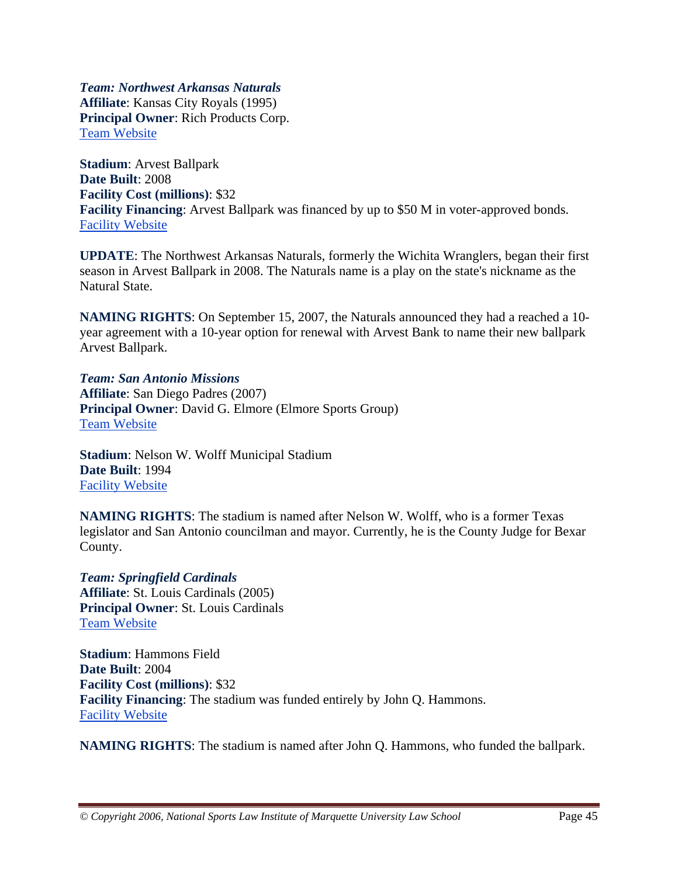*Team: Northwest Arkansas Naturals* **Affiliate**: Kansas City Royals (1995) **Principal Owner**: Rich Products Corp. Team Website

**Stadium**: Arvest Ballpark **Date Built**: 2008 **Facility Cost (millions)**: \$32 **Facility Financing**: Arvest Ballpark was financed by up to \$50 M in voter-approved bonds. Facility Website

**UPDATE**: The Northwest Arkansas Naturals, formerly the Wichita Wranglers, began their first season in Arvest Ballpark in 2008. The Naturals name is a play on the state's nickname as the Natural State.

**NAMING RIGHTS**: On September 15, 2007, the Naturals announced they had a reached a 10 year agreement with a 10-year option for renewal with Arvest Bank to name their new ballpark Arvest Ballpark.

*Team: San Antonio Missions* **Affiliate**: San Diego Padres (2007) **Principal Owner**: David G. Elmore (Elmore Sports Group) Team Website

**Stadium**: Nelson W. Wolff Municipal Stadium **Date Built**: 1994 Facility Website

**NAMING RIGHTS**: The stadium is named after Nelson W. Wolff, who is a former Texas legislator and San Antonio councilman and mayor. Currently, he is the County Judge for Bexar County.

*Team: Springfield Cardinals* **Affiliate**: St. Louis Cardinals (2005) **Principal Owner**: St. Louis Cardinals Team Website

**Stadium**: Hammons Field **Date Built**: 2004 **Facility Cost (millions)**: \$32 **Facility Financing**: The stadium was funded entirely by John Q. Hammons. Facility Website

**NAMING RIGHTS**: The stadium is named after John Q. Hammons, who funded the ballpark.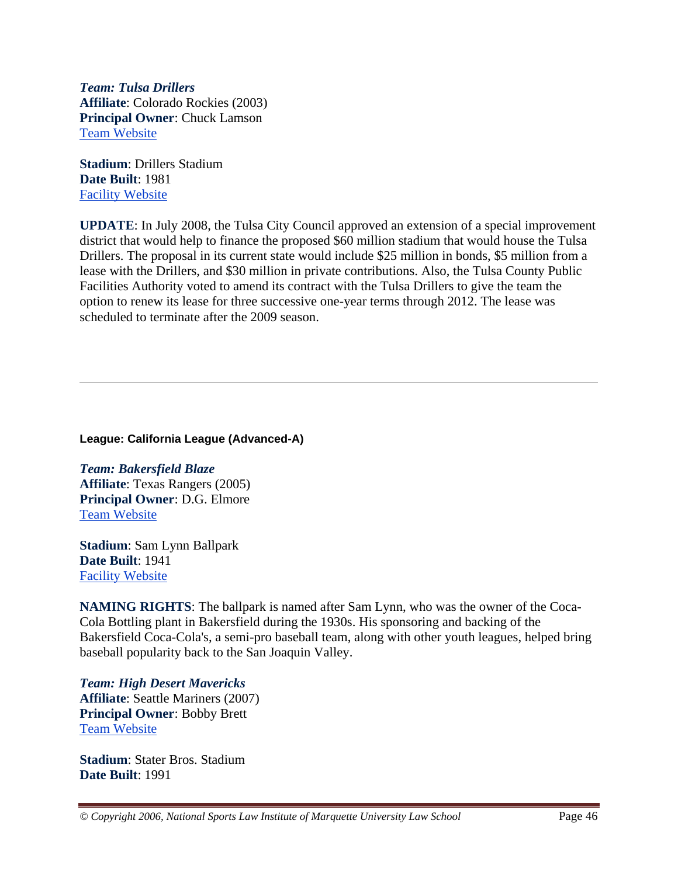*Team: Tulsa Drillers* **Affiliate**: Colorado Rockies (2003) **Principal Owner**: Chuck Lamson Team Website

**Stadium**: Drillers Stadium **Date Built**: 1981 Facility Website

**UPDATE**: In July 2008, the Tulsa City Council approved an extension of a special improvement district that would help to finance the proposed \$60 million stadium that would house the Tulsa Drillers. The proposal in its current state would include \$25 million in bonds, \$5 million from a lease with the Drillers, and \$30 million in private contributions. Also, the Tulsa County Public Facilities Authority voted to amend its contract with the Tulsa Drillers to give the team the option to renew its lease for three successive one-year terms through 2012. The lease was scheduled to terminate after the 2009 season.

#### **League: California League (Advanced-A)**

*Team: Bakersfield Blaze* **Affiliate**: Texas Rangers (2005) **Principal Owner**: D.G. Elmore Team Website

**Stadium**: Sam Lynn Ballpark **Date Built**: 1941 Facility Website

**NAMING RIGHTS**: The ballpark is named after Sam Lynn, who was the owner of the Coca-Cola Bottling plant in Bakersfield during the 1930s. His sponsoring and backing of the Bakersfield Coca-Cola's, a semi-pro baseball team, along with other youth leagues, helped bring baseball popularity back to the San Joaquin Valley.

*Team: High Desert Mavericks* **Affiliate**: Seattle Mariners (2007) **Principal Owner**: Bobby Brett Team Website

**Stadium**: Stater Bros. Stadium **Date Built**: 1991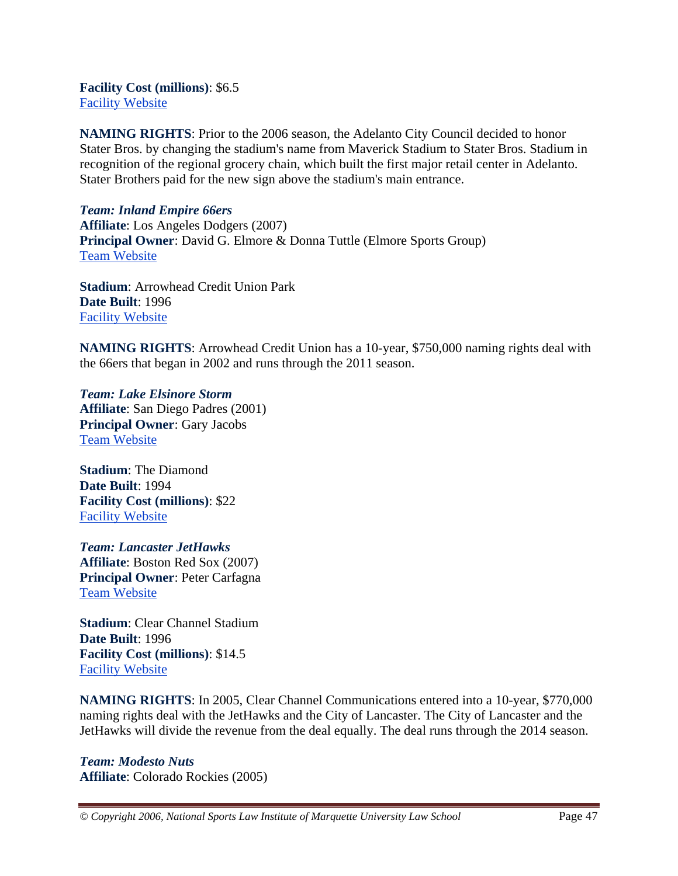**Facility Cost (millions)**: \$6.5 Facility Website

**NAMING RIGHTS**: Prior to the 2006 season, the Adelanto City Council decided to honor Stater Bros. by changing the stadium's name from Maverick Stadium to Stater Bros. Stadium in recognition of the regional grocery chain, which built the first major retail center in Adelanto. Stater Brothers paid for the new sign above the stadium's main entrance.

*Team: Inland Empire 66ers* **Affiliate**: Los Angeles Dodgers (2007) **Principal Owner**: David G. Elmore & Donna Tuttle (Elmore Sports Group) Team Website

**Stadium**: Arrowhead Credit Union Park **Date Built**: 1996 Facility Website

**NAMING RIGHTS**: Arrowhead Credit Union has a 10-year, \$750,000 naming rights deal with the 66ers that began in 2002 and runs through the 2011 season.

*Team: Lake Elsinore Storm* **Affiliate**: San Diego Padres (2001) **Principal Owner**: Gary Jacobs Team Website

**Stadium**: The Diamond **Date Built**: 1994 **Facility Cost (millions)**: \$22 Facility Website

*Team: Lancaster JetHawks* **Affiliate**: Boston Red Sox (2007) **Principal Owner**: Peter Carfagna Team Website

**Stadium**: Clear Channel Stadium **Date Built**: 1996 **Facility Cost (millions)**: \$14.5 Facility Website

**NAMING RIGHTS**: In 2005, Clear Channel Communications entered into a 10-year, \$770,000 naming rights deal with the JetHawks and the City of Lancaster. The City of Lancaster and the JetHawks will divide the revenue from the deal equally. The deal runs through the 2014 season.

*Team: Modesto Nuts* **Affiliate**: Colorado Rockies (2005)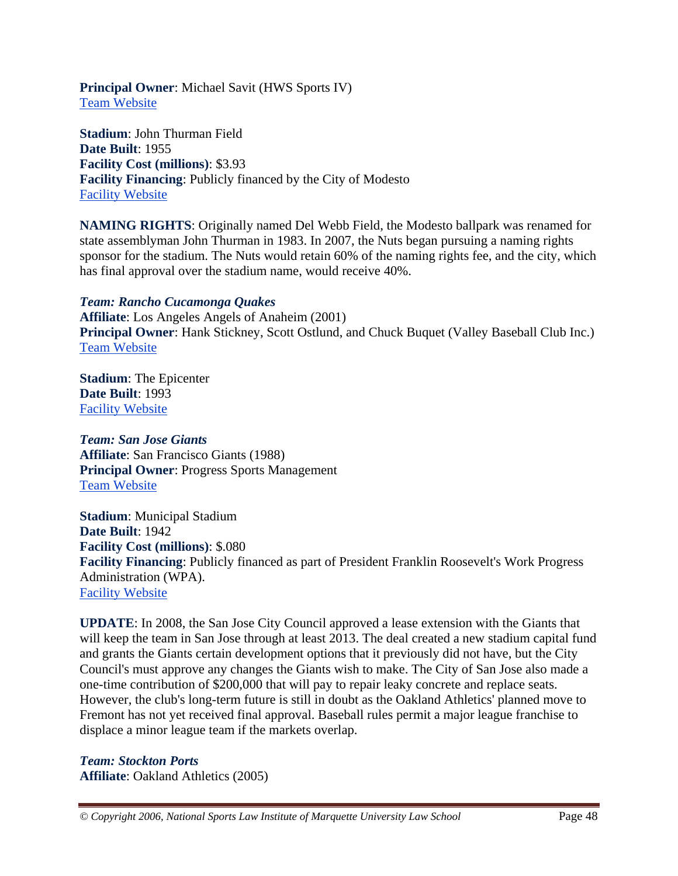**Principal Owner**: Michael Savit (HWS Sports IV) Team Website

**Stadium**: John Thurman Field **Date Built**: 1955 **Facility Cost (millions)**: \$3.93 **Facility Financing**: Publicly financed by the City of Modesto Facility Website

**NAMING RIGHTS**: Originally named Del Webb Field, the Modesto ballpark was renamed for state assemblyman John Thurman in 1983. In 2007, the Nuts began pursuing a naming rights sponsor for the stadium. The Nuts would retain 60% of the naming rights fee, and the city, which has final approval over the stadium name, would receive 40%.

#### *Team: Rancho Cucamonga Quakes*

**Affiliate**: Los Angeles Angels of Anaheim (2001) **Principal Owner**: Hank Stickney, Scott Ostlund, and Chuck Buquet (Valley Baseball Club Inc.) Team Website

**Stadium**: The Epicenter **Date Built**: 1993 Facility Website

*Team: San Jose Giants* **Affiliate**: San Francisco Giants (1988) **Principal Owner**: Progress Sports Management Team Website

**Stadium**: Municipal Stadium **Date Built**: 1942 **Facility Cost (millions)**: \$.080 **Facility Financing**: Publicly financed as part of President Franklin Roosevelt's Work Progress Administration (WPA). Facility Website

**UPDATE**: In 2008, the San Jose City Council approved a lease extension with the Giants that will keep the team in San Jose through at least 2013. The deal created a new stadium capital fund and grants the Giants certain development options that it previously did not have, but the City Council's must approve any changes the Giants wish to make. The City of San Jose also made a one-time contribution of \$200,000 that will pay to repair leaky concrete and replace seats. However, the club's long-term future is still in doubt as the Oakland Athletics' planned move to Fremont has not yet received final approval. Baseball rules permit a major league franchise to displace a minor league team if the markets overlap.

*Team: Stockton Ports* **Affiliate**: Oakland Athletics (2005)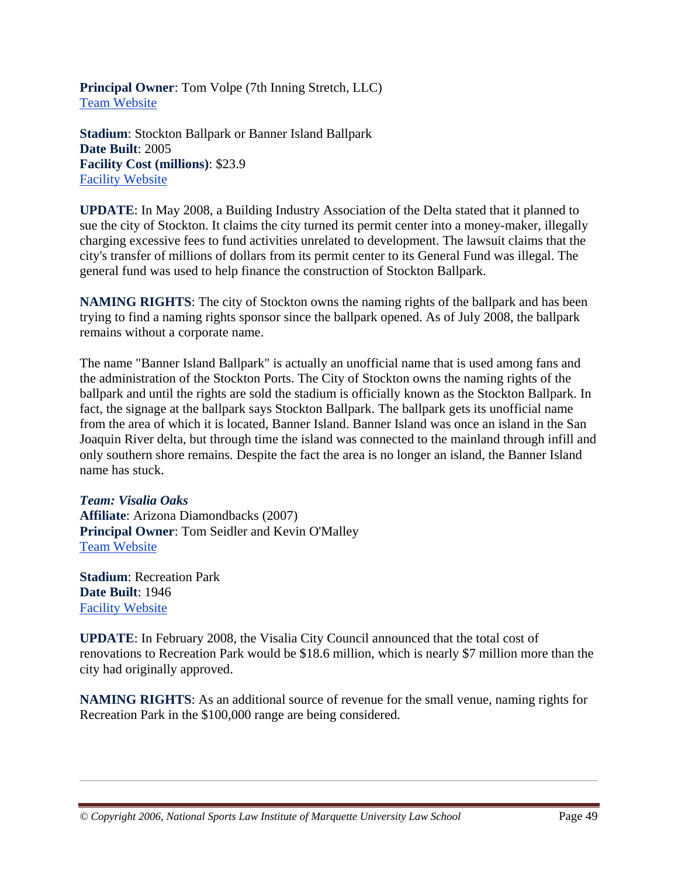**Principal Owner**: Tom Volpe (7th Inning Stretch, LLC) Team Website

**Stadium**: Stockton Ballpark or Banner Island Ballpark **Date Built**: 2005 **Facility Cost (millions)**: \$23.9 Facility Website

**UPDATE**: In May 2008, a Building Industry Association of the Delta stated that it planned to sue the city of Stockton. It claims the city turned its permit center into a money-maker, illegally charging excessive fees to fund activities unrelated to development. The lawsuit claims that the city's transfer of millions of dollars from its permit center to its General Fund was illegal. The general fund was used to help finance the construction of Stockton Ballpark.

**NAMING RIGHTS**: The city of Stockton owns the naming rights of the ballpark and has been trying to find a naming rights sponsor since the ballpark opened. As of July 2008, the ballpark remains without a corporate name.

The name "Banner Island Ballpark" is actually an unofficial name that is used among fans and the administration of the Stockton Ports. The City of Stockton owns the naming rights of the ballpark and until the rights are sold the stadium is officially known as the Stockton Ballpark. In fact, the signage at the ballpark says Stockton Ballpark. The ballpark gets its unofficial name from the area of which it is located, Banner Island. Banner Island was once an island in the San Joaquin River delta, but through time the island was connected to the mainland through infill and only southern shore remains. Despite the fact the area is no longer an island, the Banner Island name has stuck.

#### *Team: Visalia Oaks*

**Affiliate**: Arizona Diamondbacks (2007) **Principal Owner**: Tom Seidler and Kevin O'Malley Team Website

**Stadium**: Recreation Park **Date Built**: 1946 Facility Website

**UPDATE**: In February 2008, the Visalia City Council announced that the total cost of renovations to Recreation Park would be \$18.6 million, which is nearly \$7 million more than the city had originally approved.

**NAMING RIGHTS**: As an additional source of revenue for the small venue, naming rights for Recreation Park in the \$100,000 range are being considered.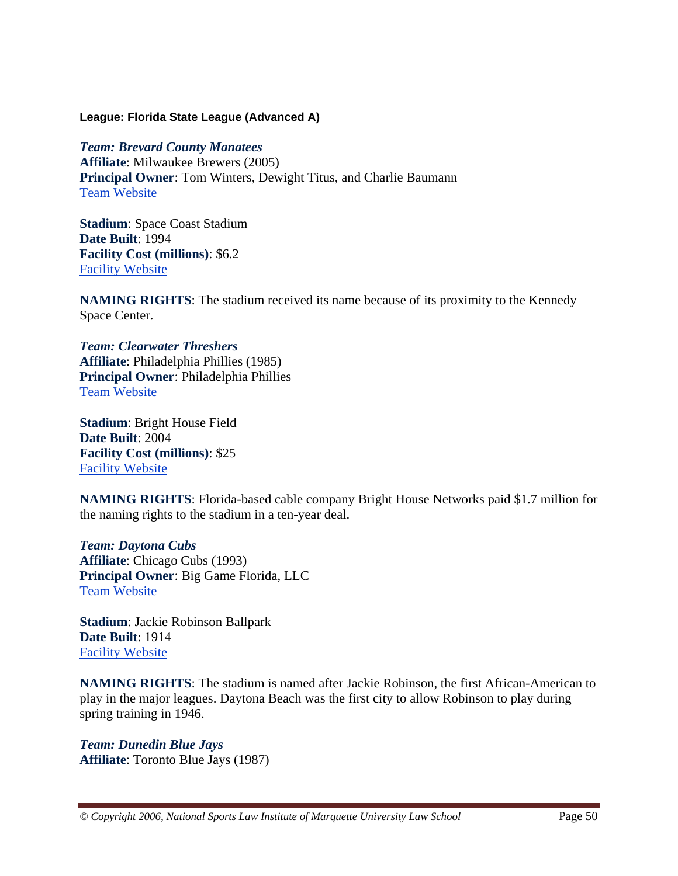#### **League: Florida State League (Advanced A)**

*Team: Brevard County Manatees* **Affiliate**: Milwaukee Brewers (2005) **Principal Owner**: Tom Winters, Dewight Titus, and Charlie Baumann Team Website

**Stadium**: Space Coast Stadium **Date Built**: 1994 **Facility Cost (millions)**: \$6.2 Facility Website

**NAMING RIGHTS**: The stadium received its name because of its proximity to the Kennedy Space Center.

*Team: Clearwater Threshers* **Affiliate**: Philadelphia Phillies (1985) **Principal Owner**: Philadelphia Phillies Team Website

**Stadium**: Bright House Field **Date Built**: 2004 **Facility Cost (millions)**: \$25 Facility Website

**NAMING RIGHTS**: Florida-based cable company Bright House Networks paid \$1.7 million for the naming rights to the stadium in a ten-year deal.

*Team: Daytona Cubs* **Affiliate**: Chicago Cubs (1993) **Principal Owner**: Big Game Florida, LLC Team Website

**Stadium**: Jackie Robinson Ballpark **Date Built**: 1914 Facility Website

**NAMING RIGHTS**: The stadium is named after Jackie Robinson, the first African-American to play in the major leagues. Daytona Beach was the first city to allow Robinson to play during spring training in 1946.

*Team: Dunedin Blue Jays* **Affiliate**: Toronto Blue Jays (1987)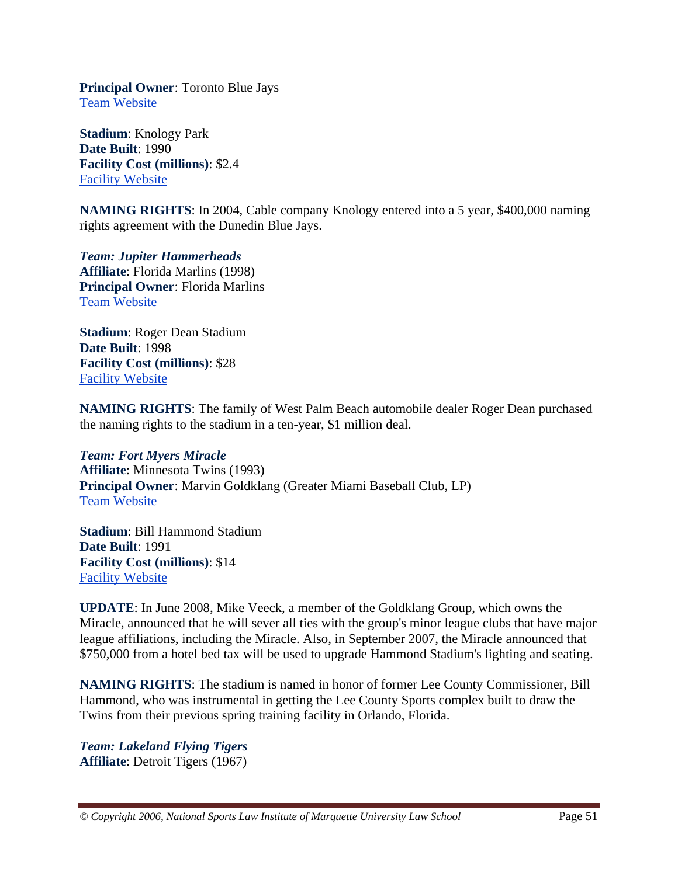**Principal Owner**: Toronto Blue Jays Team Website

**Stadium**: Knology Park **Date Built**: 1990 **Facility Cost (millions)**: \$2.4 Facility Website

**NAMING RIGHTS**: In 2004, Cable company Knology entered into a 5 year, \$400,000 naming rights agreement with the Dunedin Blue Jays.

*Team: Jupiter Hammerheads* **Affiliate**: Florida Marlins (1998) **Principal Owner**: Florida Marlins Team Website

**Stadium**: Roger Dean Stadium **Date Built**: 1998 **Facility Cost (millions)**: \$28 Facility Website

**NAMING RIGHTS**: The family of West Palm Beach automobile dealer Roger Dean purchased the naming rights to the stadium in a ten-year, \$1 million deal.

*Team: Fort Myers Miracle* **Affiliate**: Minnesota Twins (1993) **Principal Owner**: Marvin Goldklang (Greater Miami Baseball Club, LP) Team Website

**Stadium**: Bill Hammond Stadium **Date Built**: 1991 **Facility Cost (millions)**: \$14 Facility Website

**UPDATE**: In June 2008, Mike Veeck, a member of the Goldklang Group, which owns the Miracle, announced that he will sever all ties with the group's minor league clubs that have major league affiliations, including the Miracle. Also, in September 2007, the Miracle announced that \$750,000 from a hotel bed tax will be used to upgrade Hammond Stadium's lighting and seating.

**NAMING RIGHTS**: The stadium is named in honor of former Lee County Commissioner, Bill Hammond, who was instrumental in getting the Lee County Sports complex built to draw the Twins from their previous spring training facility in Orlando, Florida.

*Team: Lakeland Flying Tigers* **Affiliate**: Detroit Tigers (1967)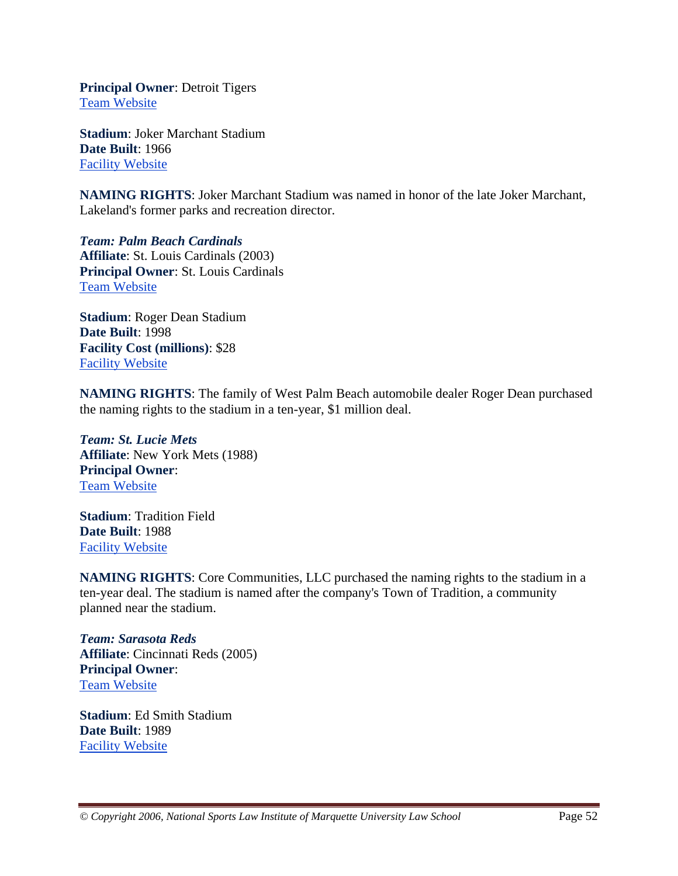**Principal Owner**: Detroit Tigers Team Website

**Stadium**: Joker Marchant Stadium **Date Built**: 1966 Facility Website

**NAMING RIGHTS**: Joker Marchant Stadium was named in honor of the late Joker Marchant, Lakeland's former parks and recreation director.

*Team: Palm Beach Cardinals* **Affiliate**: St. Louis Cardinals (2003) **Principal Owner**: St. Louis Cardinals Team Website

**Stadium**: Roger Dean Stadium **Date Built**: 1998 **Facility Cost (millions)**: \$28 Facility Website

**NAMING RIGHTS**: The family of West Palm Beach automobile dealer Roger Dean purchased the naming rights to the stadium in a ten-year, \$1 million deal.

*Team: St. Lucie Mets* **Affiliate**: New York Mets (1988) **Principal Owner**: Team Website

**Stadium**: Tradition Field **Date Built**: 1988 Facility Website

**NAMING RIGHTS**: Core Communities, LLC purchased the naming rights to the stadium in a ten-year deal. The stadium is named after the company's Town of Tradition, a community planned near the stadium.

*Team: Sarasota Reds* **Affiliate**: Cincinnati Reds (2005) **Principal Owner**: Team Website

**Stadium**: Ed Smith Stadium **Date Built**: 1989 Facility Website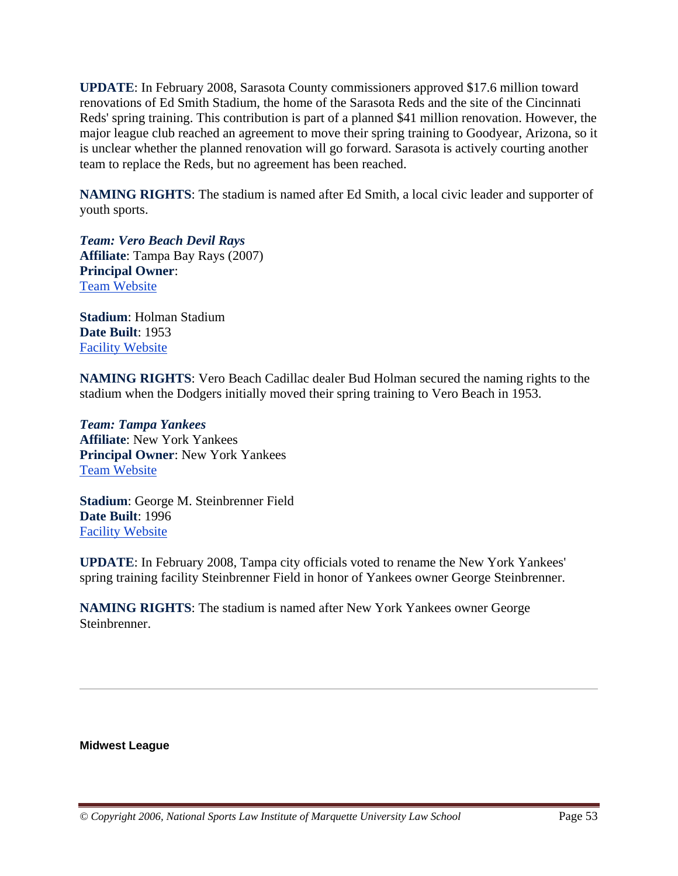**UPDATE**: In February 2008, Sarasota County commissioners approved \$17.6 million toward renovations of Ed Smith Stadium, the home of the Sarasota Reds and the site of the Cincinnati Reds' spring training. This contribution is part of a planned \$41 million renovation. However, the major league club reached an agreement to move their spring training to Goodyear, Arizona, so it is unclear whether the planned renovation will go forward. Sarasota is actively courting another team to replace the Reds, but no agreement has been reached.

**NAMING RIGHTS**: The stadium is named after Ed Smith, a local civic leader and supporter of youth sports.

*Team: Vero Beach Devil Rays* **Affiliate**: Tampa Bay Rays (2007) **Principal Owner**: Team Website

**Stadium**: Holman Stadium **Date Built**: 1953 Facility Website

**NAMING RIGHTS**: Vero Beach Cadillac dealer Bud Holman secured the naming rights to the stadium when the Dodgers initially moved their spring training to Vero Beach in 1953.

*Team: Tampa Yankees* **Affiliate**: New York Yankees **Principal Owner**: New York Yankees Team Website

**Stadium**: George M. Steinbrenner Field **Date Built**: 1996 Facility Website

**UPDATE**: In February 2008, Tampa city officials voted to rename the New York Yankees' spring training facility Steinbrenner Field in honor of Yankees owner George Steinbrenner.

**NAMING RIGHTS**: The stadium is named after New York Yankees owner George **Steinbrenner** 

**Midwest League**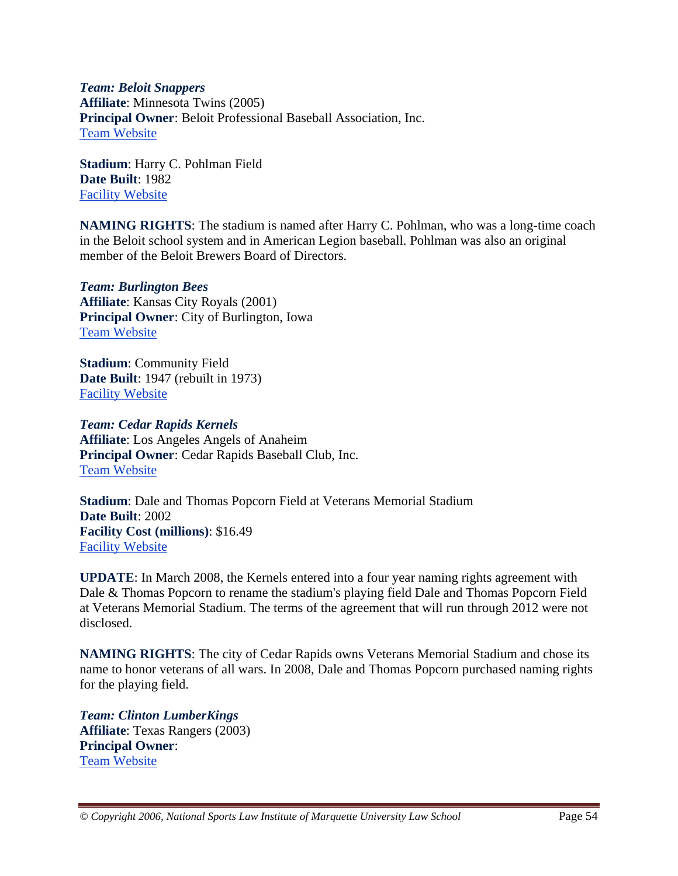*Team: Beloit Snappers* **Affiliate**: Minnesota Twins (2005) **Principal Owner**: Beloit Professional Baseball Association, Inc. Team Website

**Stadium**: Harry C. Pohlman Field **Date Built**: 1982 Facility Website

**NAMING RIGHTS**: The stadium is named after Harry C. Pohlman, who was a long-time coach in the Beloit school system and in American Legion baseball. Pohlman was also an original member of the Beloit Brewers Board of Directors.

*Team: Burlington Bees* **Affiliate**: Kansas City Royals (2001) **Principal Owner**: City of Burlington, Iowa Team Website

**Stadium**: Community Field **Date Built**: 1947 (rebuilt in 1973) Facility Website

*Team: Cedar Rapids Kernels* **Affiliate**: Los Angeles Angels of Anaheim **Principal Owner**: Cedar Rapids Baseball Club, Inc. Team Website

**Stadium**: Dale and Thomas Popcorn Field at Veterans Memorial Stadium **Date Built**: 2002 **Facility Cost (millions)**: \$16.49 Facility Website

**UPDATE**: In March 2008, the Kernels entered into a four year naming rights agreement with Dale & Thomas Popcorn to rename the stadium's playing field Dale and Thomas Popcorn Field at Veterans Memorial Stadium. The terms of the agreement that will run through 2012 were not disclosed.

**NAMING RIGHTS**: The city of Cedar Rapids owns Veterans Memorial Stadium and chose its name to honor veterans of all wars. In 2008, Dale and Thomas Popcorn purchased naming rights for the playing field.

*Team: Clinton LumberKings* **Affiliate**: Texas Rangers (2003) **Principal Owner**: Team Website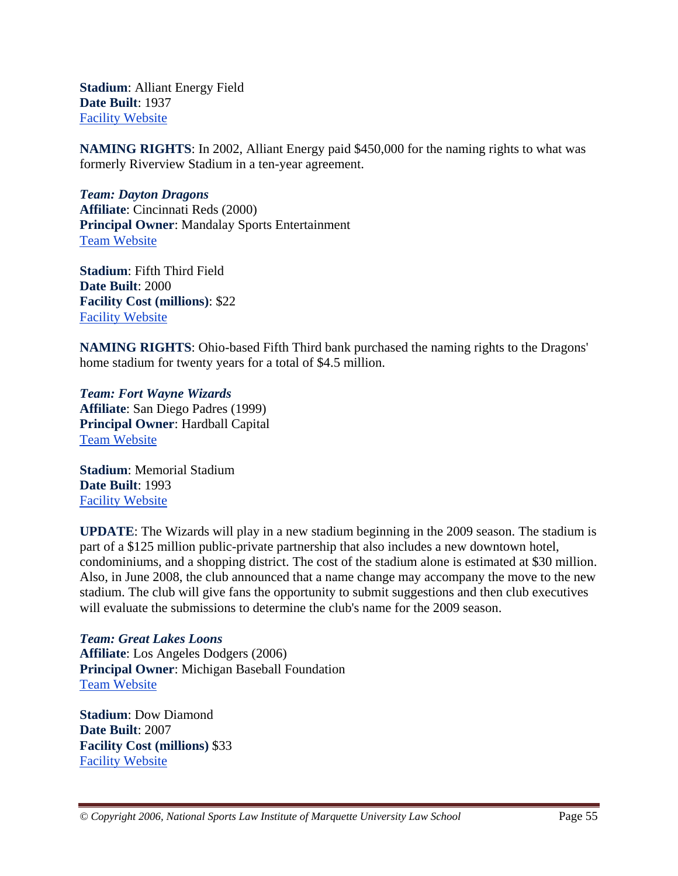**Stadium**: Alliant Energy Field **Date Built**: 1937 Facility Website

**NAMING RIGHTS**: In 2002, Alliant Energy paid \$450,000 for the naming rights to what was formerly Riverview Stadium in a ten-year agreement.

*Team: Dayton Dragons* **Affiliate**: Cincinnati Reds (2000) **Principal Owner**: Mandalay Sports Entertainment Team Website

**Stadium**: Fifth Third Field **Date Built**: 2000 **Facility Cost (millions)**: \$22 Facility Website

**NAMING RIGHTS**: Ohio-based Fifth Third bank purchased the naming rights to the Dragons' home stadium for twenty years for a total of \$4.5 million.

*Team: Fort Wayne Wizards* **Affiliate**: San Diego Padres (1999) **Principal Owner**: Hardball Capital Team Website

**Stadium**: Memorial Stadium **Date Built**: 1993 Facility Website

**UPDATE**: The Wizards will play in a new stadium beginning in the 2009 season. The stadium is part of a \$125 million public-private partnership that also includes a new downtown hotel, condominiums, and a shopping district. The cost of the stadium alone is estimated at \$30 million. Also, in June 2008, the club announced that a name change may accompany the move to the new stadium. The club will give fans the opportunity to submit suggestions and then club executives will evaluate the submissions to determine the club's name for the 2009 season.

*Team: Great Lakes Loons* **Affiliate**: Los Angeles Dodgers (2006) **Principal Owner**: Michigan Baseball Foundation Team Website

**Stadium**: Dow Diamond **Date Built**: 2007 **Facility Cost (millions)** \$33 Facility Website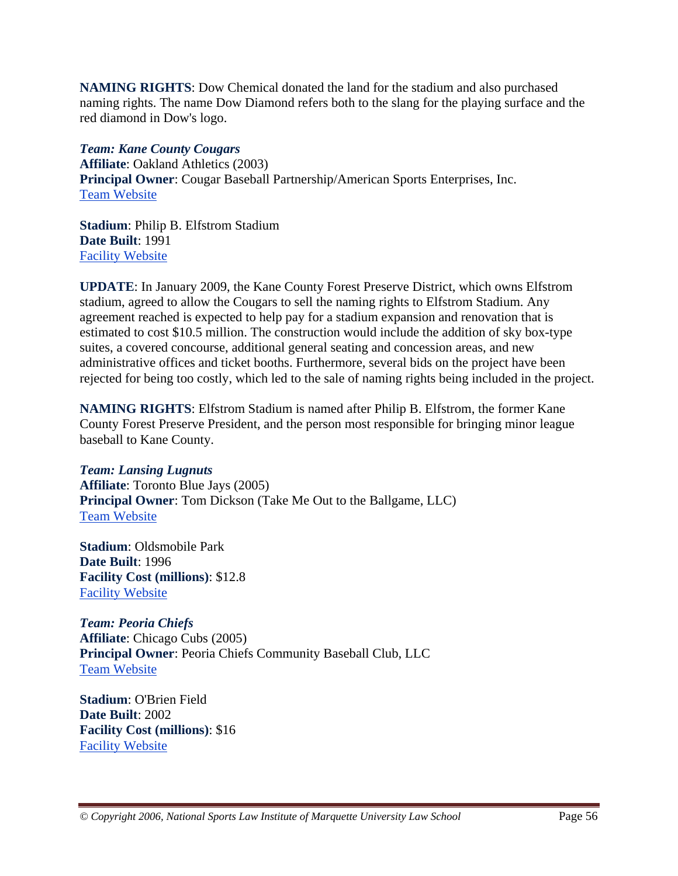**NAMING RIGHTS**: Dow Chemical donated the land for the stadium and also purchased naming rights. The name Dow Diamond refers both to the slang for the playing surface and the red diamond in Dow's logo.

*Team: Kane County Cougars* **Affiliate**: Oakland Athletics (2003) **Principal Owner**: Cougar Baseball Partnership/American Sports Enterprises, Inc. Team Website

**Stadium**: Philip B. Elfstrom Stadium **Date Built**: 1991 Facility Website

**UPDATE**: In January 2009, the Kane County Forest Preserve District, which owns Elfstrom stadium, agreed to allow the Cougars to sell the naming rights to Elfstrom Stadium. Any agreement reached is expected to help pay for a stadium expansion and renovation that is estimated to cost \$10.5 million. The construction would include the addition of sky box-type suites, a covered concourse, additional general seating and concession areas, and new administrative offices and ticket booths. Furthermore, several bids on the project have been rejected for being too costly, which led to the sale of naming rights being included in the project.

**NAMING RIGHTS**: Elfstrom Stadium is named after Philip B. Elfstrom, the former Kane County Forest Preserve President, and the person most responsible for bringing minor league baseball to Kane County.

*Team: Lansing Lugnuts* **Affiliate**: Toronto Blue Jays (2005) **Principal Owner**: Tom Dickson (Take Me Out to the Ballgame, LLC) Team Website

**Stadium**: Oldsmobile Park **Date Built**: 1996 **Facility Cost (millions)**: \$12.8 Facility Website

*Team: Peoria Chiefs* **Affiliate**: Chicago Cubs (2005) **Principal Owner**: Peoria Chiefs Community Baseball Club, LLC Team Website

**Stadium**: O'Brien Field **Date Built**: 2002 **Facility Cost (millions)**: \$16 Facility Website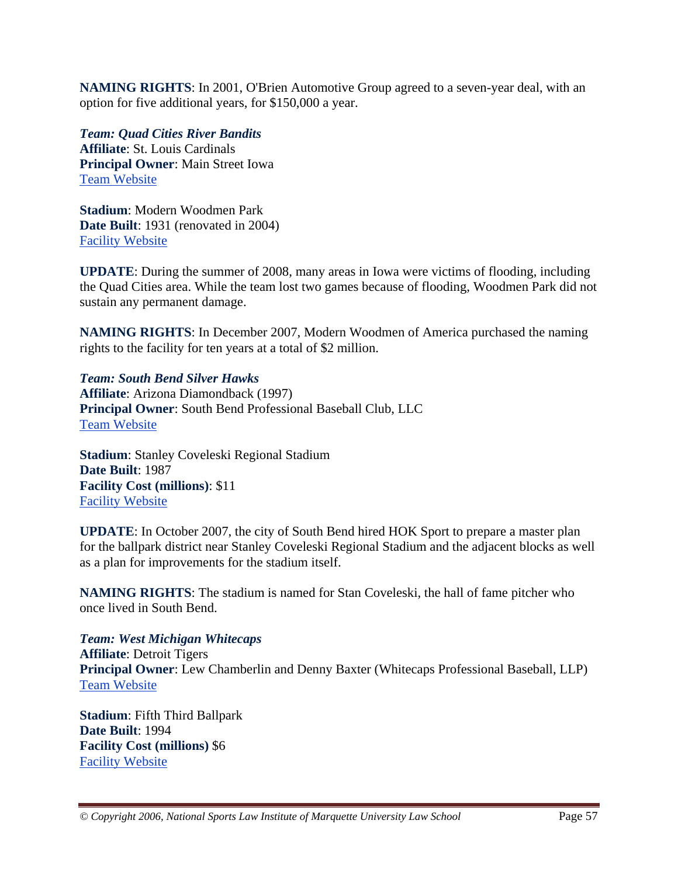**NAMING RIGHTS**: In 2001, O'Brien Automotive Group agreed to a seven-year deal, with an option for five additional years, for \$150,000 a year.

*Team: Quad Cities River Bandits* **Affiliate**: St. Louis Cardinals **Principal Owner**: Main Street Iowa Team Website

**Stadium**: Modern Woodmen Park **Date Built**: 1931 (renovated in 2004) Facility Website

**UPDATE**: During the summer of 2008, many areas in Iowa were victims of flooding, including the Quad Cities area. While the team lost two games because of flooding, Woodmen Park did not sustain any permanent damage.

**NAMING RIGHTS**: In December 2007, Modern Woodmen of America purchased the naming rights to the facility for ten years at a total of \$2 million.

*Team: South Bend Silver Hawks* **Affiliate**: Arizona Diamondback (1997) **Principal Owner**: South Bend Professional Baseball Club, LLC Team Website

**Stadium**: Stanley Coveleski Regional Stadium **Date Built**: 1987 **Facility Cost (millions)**: \$11 Facility Website

**UPDATE**: In October 2007, the city of South Bend hired HOK Sport to prepare a master plan for the ballpark district near Stanley Coveleski Regional Stadium and the adjacent blocks as well as a plan for improvements for the stadium itself.

**NAMING RIGHTS**: The stadium is named for Stan Coveleski, the hall of fame pitcher who once lived in South Bend.

*Team: West Michigan Whitecaps* **Affiliate**: Detroit Tigers **Principal Owner**: Lew Chamberlin and Denny Baxter (Whitecaps Professional Baseball, LLP) Team Website

**Stadium**: Fifth Third Ballpark **Date Built**: 1994 **Facility Cost (millions)** \$6 Facility Website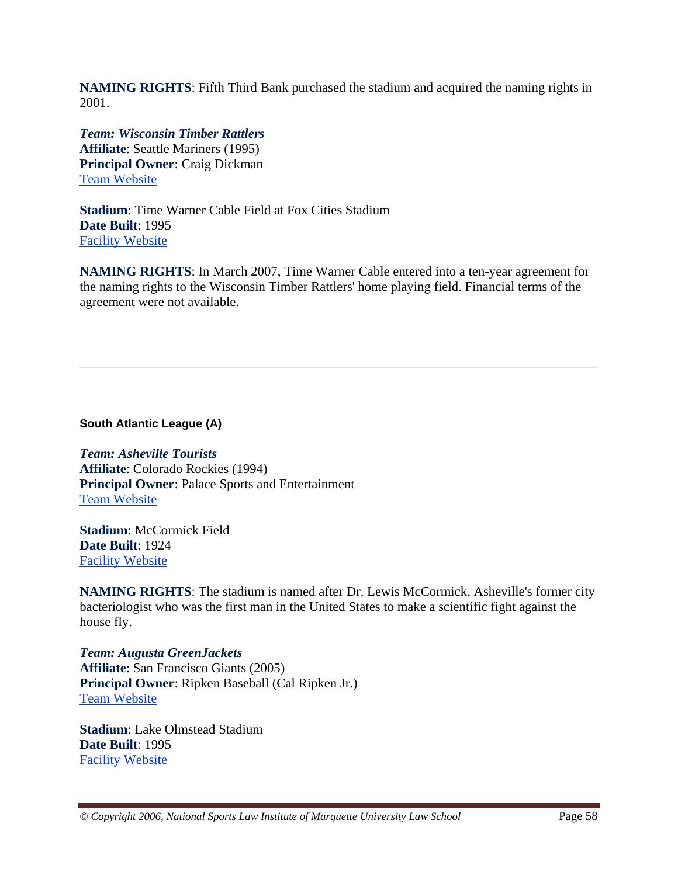**NAMING RIGHTS**: Fifth Third Bank purchased the stadium and acquired the naming rights in 2001.

*Team: Wisconsin Timber Rattlers* **Affiliate**: Seattle Mariners (1995) **Principal Owner**: Craig Dickman Team Website

**Stadium**: Time Warner Cable Field at Fox Cities Stadium **Date Built**: 1995 Facility Website

**NAMING RIGHTS**: In March 2007, Time Warner Cable entered into a ten-year agreement for the naming rights to the Wisconsin Timber Rattlers' home playing field. Financial terms of the agreement were not available.

**South Atlantic League (A)** 

*Team: Asheville Tourists* **Affiliate**: Colorado Rockies (1994) **Principal Owner**: Palace Sports and Entertainment Team Website

**Stadium**: McCormick Field **Date Built**: 1924 Facility Website

**NAMING RIGHTS**: The stadium is named after Dr. Lewis McCormick, Asheville's former city bacteriologist who was the first man in the United States to make a scientific fight against the house fly.

*Team: Augusta GreenJackets* **Affiliate**: San Francisco Giants (2005) **Principal Owner**: Ripken Baseball (Cal Ripken Jr.) Team Website

**Stadium**: Lake Olmstead Stadium **Date Built**: 1995 Facility Website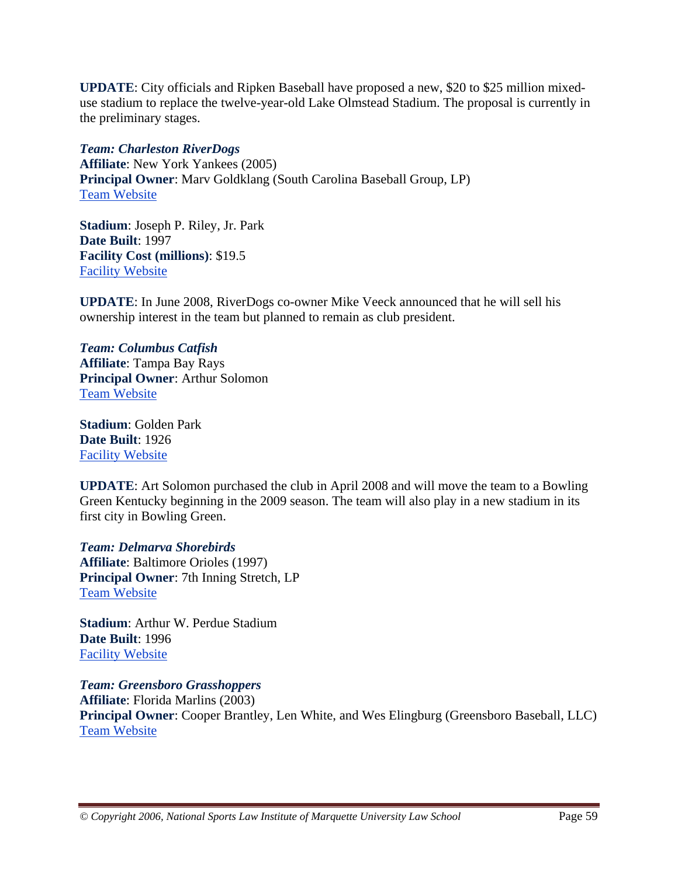**UPDATE**: City officials and Ripken Baseball have proposed a new, \$20 to \$25 million mixeduse stadium to replace the twelve-year-old Lake Olmstead Stadium. The proposal is currently in the preliminary stages.

*Team: Charleston RiverDogs* **Affiliate**: New York Yankees (2005) **Principal Owner**: Marv Goldklang (South Carolina Baseball Group, LP) Team Website

**Stadium**: Joseph P. Riley, Jr. Park **Date Built**: 1997 **Facility Cost (millions)**: \$19.5 Facility Website

**UPDATE**: In June 2008, RiverDogs co-owner Mike Veeck announced that he will sell his ownership interest in the team but planned to remain as club president.

## *Team: Columbus Catfish* **Affiliate**: Tampa Bay Rays **Principal Owner**: Arthur Solomon Team Website

**Stadium**: Golden Park **Date Built**: 1926 Facility Website

**UPDATE**: Art Solomon purchased the club in April 2008 and will move the team to a Bowling Green Kentucky beginning in the 2009 season. The team will also play in a new stadium in its first city in Bowling Green.

*Team: Delmarva Shorebirds* **Affiliate**: Baltimore Orioles (1997) **Principal Owner**: 7th Inning Stretch, LP Team Website

**Stadium**: Arthur W. Perdue Stadium **Date Built**: 1996 Facility Website

*Team: Greensboro Grasshoppers* **Affiliate**: Florida Marlins (2003) **Principal Owner**: Cooper Brantley, Len White, and Wes Elingburg (Greensboro Baseball, LLC) Team Website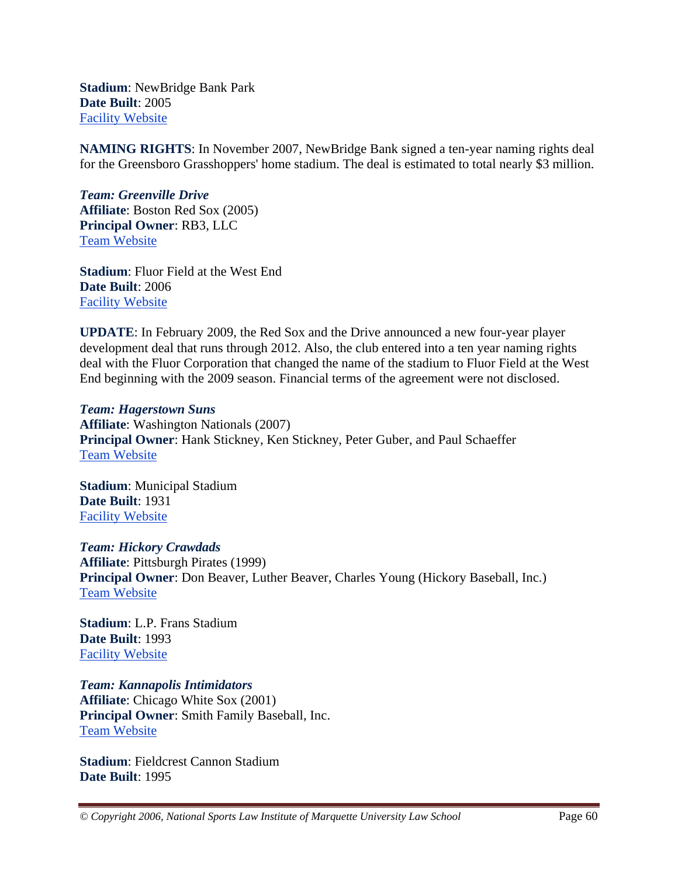**Stadium**: NewBridge Bank Park **Date Built**: 2005 Facility Website

**NAMING RIGHTS**: In November 2007, NewBridge Bank signed a ten-year naming rights deal for the Greensboro Grasshoppers' home stadium. The deal is estimated to total nearly \$3 million.

*Team: Greenville Drive* **Affiliate**: Boston Red Sox (2005) **Principal Owner**: RB3, LLC Team Website

**Stadium**: Fluor Field at the West End **Date Built**: 2006 Facility Website

**UPDATE**: In February 2009, the Red Sox and the Drive announced a new four-year player development deal that runs through 2012. Also, the club entered into a ten year naming rights deal with the Fluor Corporation that changed the name of the stadium to Fluor Field at the West End beginning with the 2009 season. Financial terms of the agreement were not disclosed.

*Team: Hagerstown Suns* **Affiliate**: Washington Nationals (2007) **Principal Owner**: Hank Stickney, Ken Stickney, Peter Guber, and Paul Schaeffer Team Website

**Stadium**: Municipal Stadium **Date Built**: 1931 Facility Website

*Team: Hickory Crawdads* **Affiliate**: Pittsburgh Pirates (1999) **Principal Owner**: Don Beaver, Luther Beaver, Charles Young (Hickory Baseball, Inc.) Team Website

**Stadium**: L.P. Frans Stadium **Date Built**: 1993 Facility Website

*Team: Kannapolis Intimidators* **Affiliate**: Chicago White Sox (2001) **Principal Owner**: Smith Family Baseball, Inc. Team Website

**Stadium**: Fieldcrest Cannon Stadium **Date Built**: 1995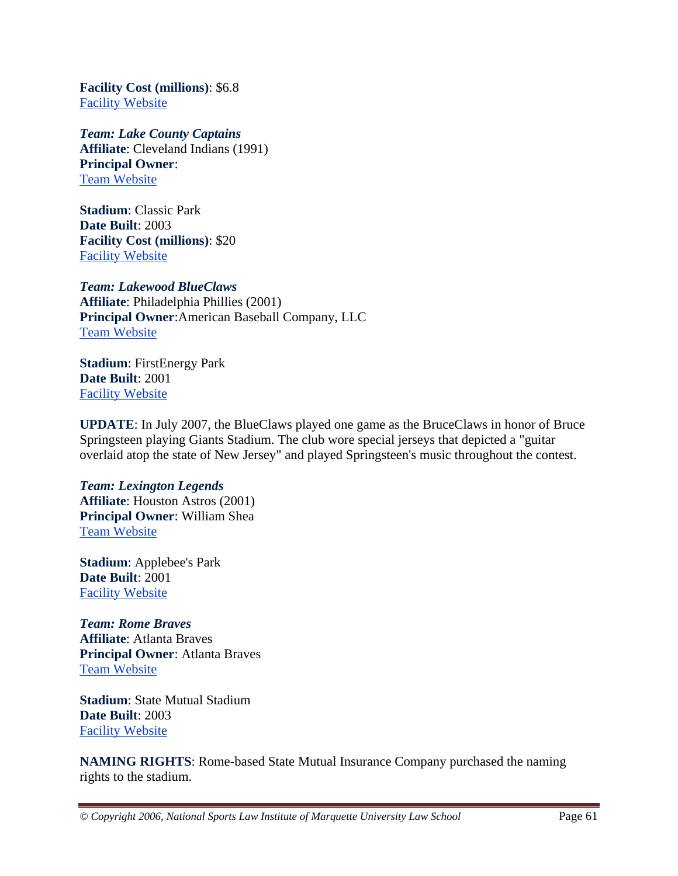**Facility Cost (millions)**: \$6.8 Facility Website

*Team: Lake County Captains* **Affiliate**: Cleveland Indians (1991) **Principal Owner**: Team Website

**Stadium**: Classic Park **Date Built**: 2003 **Facility Cost (millions)**: \$20 Facility Website

# *Team: Lakewood BlueClaws*

**Affiliate**: Philadelphia Phillies (2001) **Principal Owner**:American Baseball Company, LLC Team Website

**Stadium**: FirstEnergy Park **Date Built**: 2001 Facility Website

**UPDATE**: In July 2007, the BlueClaws played one game as the BruceClaws in honor of Bruce Springsteen playing Giants Stadium. The club wore special jerseys that depicted a "guitar overlaid atop the state of New Jersey" and played Springsteen's music throughout the contest.

### *Team: Lexington Legends* **Affiliate**: Houston Astros (2001) **Principal Owner**: William Shea Team Website

**Stadium**: Applebee's Park **Date Built**: 2001 Facility Website

*Team: Rome Braves* **Affiliate**: Atlanta Braves **Principal Owner**: Atlanta Braves Team Website

**Stadium**: State Mutual Stadium **Date Built**: 2003 Facility Website

**NAMING RIGHTS**: Rome-based State Mutual Insurance Company purchased the naming rights to the stadium.